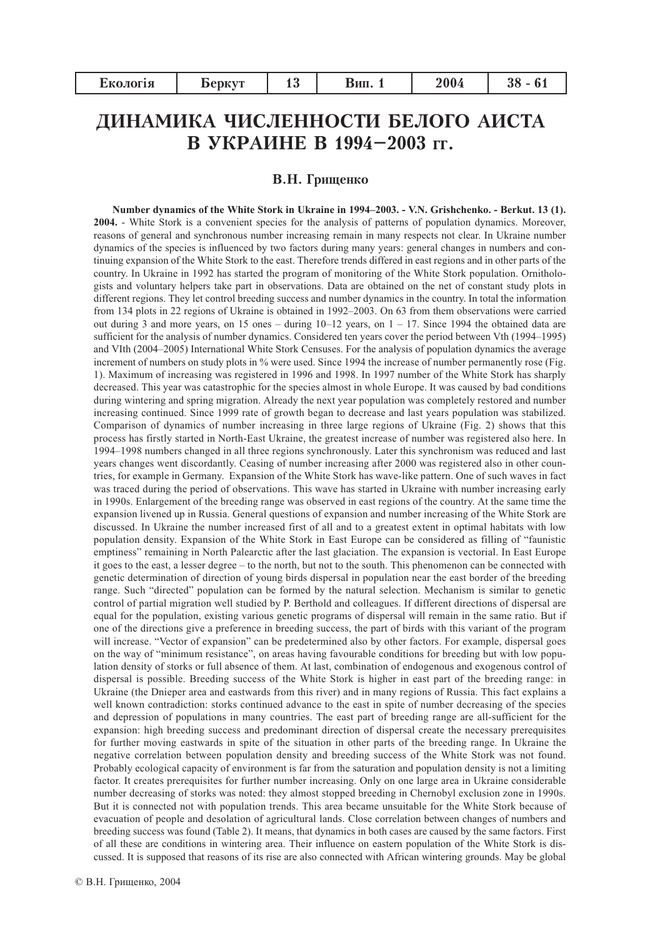| 2004<br>1 C<br>Екологія<br><b>Беркут</b><br>оип.<br>ıυ |
|--------------------------------------------------------|
|--------------------------------------------------------|

# ДИНАМИКА ЧИСЛЕННОСТИ БЕЛОГО АИСТА В УКРАИНЕ В 1994-2003 гг.

### В.Н. Гришенко

Number dynamics of the White Stork in Ukraine in 1994–2003. - V.N. Grishchenko. - Berkut. 13 (1). 2004. - White Stork is a convenient species for the analysis of patterns of population dynamics. Moreover, reasons of general and synchronous number increasing remain in many respects not clear. In Ukraine number dynamics of the species is influenced by two factors during many years: general changes in numbers and continuing expansion of the White Stork to the east. Therefore trends differed in east regions and in other parts of the country. In Ukraine in 1992 has started the program of monitoring of the White Stork population. Ornithologists and voluntary helpers take part in observations. Data are obtained on the net of constant study plots in different regions. They let control breeding success and number dynamics in the country. In total the information from 134 plots in 22 regions of Ukraine is obtained in 1992-2003. On 63 from them observations were carried out during 3 and more years, on 15 ones – during  $10-12$  years, on  $1-17$ . Since 1994 the obtained data are sufficient for the analysis of number dynamics. Considered ten years cover the period between Vth (1994–1995) and VIth (2004–2005) International White Stork Censuses. For the analysis of population dynamics the average increment of numbers on study plots in % were used. Since 1994 the increase of number permanently rose (Fig. 1). Maximum of increasing was registered in 1996 and 1998. In 1997 number of the White Stork has sharply decreased. This year was catastrophic for the species almost in whole Europe. It was caused by bad conditions during wintering and spring migration. Already the next year population was completely restored and number increasing continued. Since 1999 rate of growth began to decrease and last years population was stabilized. Comparison of dynamics of number increasing in three large regions of Ukraine (Fig. 2) shows that this process has firstly started in North-East Ukraine, the greatest increase of number was registered also here. In 1994–1998 numbers changed in all three regions synchronously. Later this synchronism was reduced and last years changes went discordantly. Ceasing of number increasing after 2000 was registered also in other countries, for example in Germany. Expansion of the White Stork has wave-like pattern. One of such waves in fact was traced during the period of observations. This wave has started in Ukraine with number increasing early in 1990s. Enlargement of the breeding range was observed in east regions of the country. At the same time the expansion livened up in Russia. General questions of expansion and number increasing of the White Stork are discussed. In Ukraine the number increased first of all and to a greatest extent in optimal habitats with low population density. Expansion of the White Stork in East Europe can be considered as filling of "faunistic emptiness" remaining in North Palearctic after the last glaciation. The expansion is vectorial. In East Europe it goes to the east, a lesser degree – to the north, but not to the south. This phenomenon can be connected with genetic determination of direction of young birds dispersal in population near the east border of the breeding range. Such "directed" population can be formed by the natural selection. Mechanism is similar to genetic control of partial migration well studied by P. Berthold and colleagues. If different directions of dispersal are equal for the population, existing various genetic programs of dispersal will remain in the same ratio. But if one of the directions give a preference in breeding success, the part of birds with this variant of the program will increase. "Vector of expansion" can be predetermined also by other factors. For example, dispersal goes on the way of "minimum resistance", on areas having favourable conditions for breeding but with low population density of storks or full absence of them. At last, combination of endogenous and exogenous control of dispersal is possible. Breeding success of the White Stork is higher in east part of the breeding range: in Ukraine (the Dnieper area and eastwards from this river) and in many regions of Russia. This fact explains a well known contradiction: storks continued advance to the east in spite of number decreasing of the species and depression of populations in many countries. The east part of breeding range are all-sufficient for the expansion: high breeding success and predominant direction of dispersal create the necessary prerequisites for further moving eastwards in spite of the situation in other parts of the breeding range. In Ukraine the negative correlation between population density and breeding success of the White Stork was not found. Probably ecological capacity of environment is far from the saturation and population density is not a limiting factor. It creates prerequisites for further number increasing. Only on one large area in Ukraine considerable number decreasing of storks was noted: they almost stopped breeding in Chernobyl exclusion zone in 1990s. But it is connected not with population trends. This area became unsuitable for the White Stork because of evacuation of people and desolation of agricultural lands. Close correlation between changes of numbers and breeding success was found (Table 2). It means, that dynamics in both cases are caused by the same factors. First of all these are conditions in wintering area. Their influence on eastern population of the White Stork is discussed. It is supposed that reasons of its rise are also connected with African wintering grounds. May be global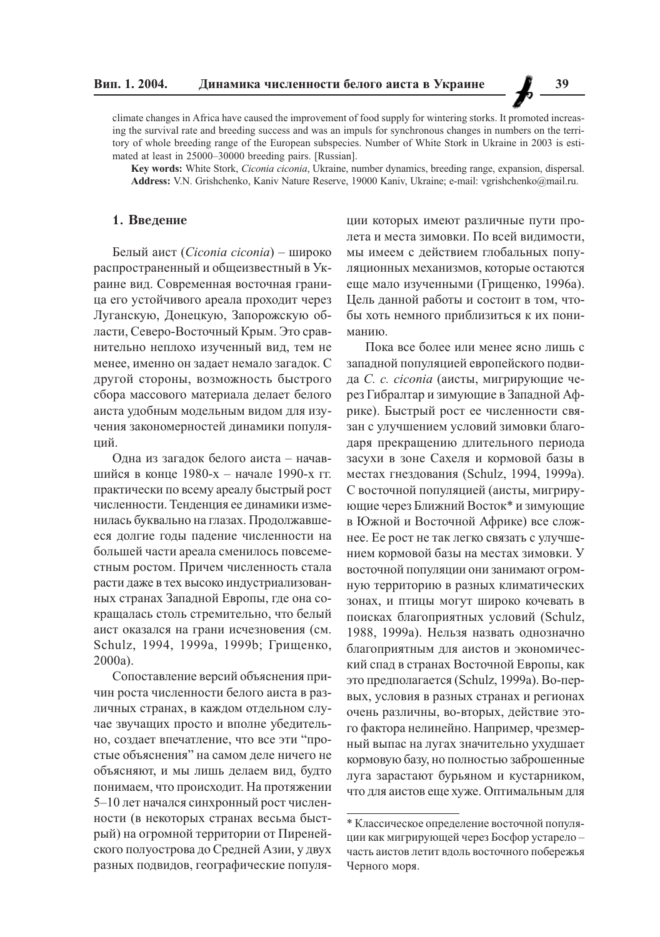climate changes in Africa have caused the improvement of food supply for wintering storks. It promoted increasing the survival rate and breeding success and was an impuls for synchronous changes in numbers on the territory of whole breeding range of the European subspecies. Number of White Stork in Ukraine in 2003 is estimated at least in 25000-30000 breeding pairs. [Russian].

Key words: White Stork, Ciconia ciconia, Ukraine, number dynamics, breeding range, expansion, dispersal. Address: V.N. Grishchenko, Kaniv Nature Reserve, 19000 Kaniv, Ukraine; e-mail: vgrishchenko@mail.ru.

## 1. Введение

Белый аист (Ciconia ciconia) - широко распространенный и общеизвестный в Украине вид. Современная восточная граница его устойчивого ареала проходит через Луганскую, Донецкую, Запорожскую области, Северо-Восточный Крым. Это сравнительно неплохо изученный вид, тем не менее, именно он задает немало загадок. С другой стороны, возможность быстрого сбора массового материала делает белого аиста удобным модельным видом для изучения закономерностей динамики популяший.

Одна из загадок белого аиста - начавшийся в конце 1980-х - начале 1990-х гг. практически по всему ареалу быстрый рост численности. Тенденция ее динамики изменилась буквально на глазах. Продолжавшееся долгие годы падение численности на большей части ареала сменилось повсеместным ростом. Причем численность стала расти даже в тех высоко индустриализованных странах Западной Европы, где она сокращалась столь стремительно, что белый аист оказался на грани исчезновения (см. Schulz, 1994, 1999а, 1999b; Грищенко,  $2000a$ ).

Сопоставление версий объяснения причин роста численности белого аиста в различных странах, в каждом отдельном случае звучащих просто и вполне убедительно, создает впечатление, что все эти "простые объяснения" на самом деле ничего не объясняют, и мы лишь делаем вид, будто понимаем, что происходит. На протяжении 5-10 лет начался синхронный рост численности (в некоторых странах весьма быстрый) на огромной территории от Пиренейского полуострова до Средней Азии, у двух разных подвидов, географические популяции которых имеют различные пути пролета и места зимовки. По всей видимости, мы имеем с действием глобальных популяционных механизмов, которые остаются еще мало изученными (Грищенко, 1996а). Цель данной работы и состоит в том, чтобы хоть немного приблизиться к их пониманию.

Пока все более или менее ясно лишь с западной популяцией европейского подвида С. с. сісопіа (аисты, мигрирующие через Гибралтар и зимующие в Западной Африке). Быстрый рост ее численности связан с улучшением условий зимовки благодаря прекращению длительного периода засухи в зоне Сахеля и кормовой базы в местах гнездования (Schulz, 1994, 1999а). С восточной популяцией (аисты, мигрирующие через Ближний Восток\* и зимующие в Южной и Восточной Африке) все сложнее. Ее рост не так легко связать с улучшением кормовой базы на местах зимовки. У восточной популяции они занимают огромную территорию в разных климатических зонах, и птицы могут широко кочевать в поисках благоприятных условий (Schulz, 1988, 1999а). Нельзя назвать однозначно благоприятным для аистов и экономический спад в странах Восточной Европы, как это предполагается (Schulz, 1999a). Во-первых, условия в разных странах и регионах очень различны, во-вторых, действие этого фактора нелинейно. Например, чрезмерный выпас на лугах значительно ухудшает кормовую базу, но полностью заброшенные луга зарастают бурьяном и кустарником, что для аистов еще хуже. Оптимальным для

<sup>\*</sup> Классическое определение восточной популяции как мигрирующей через Босфор устарелочасть аистов летит вдоль восточного побережья Черного моря.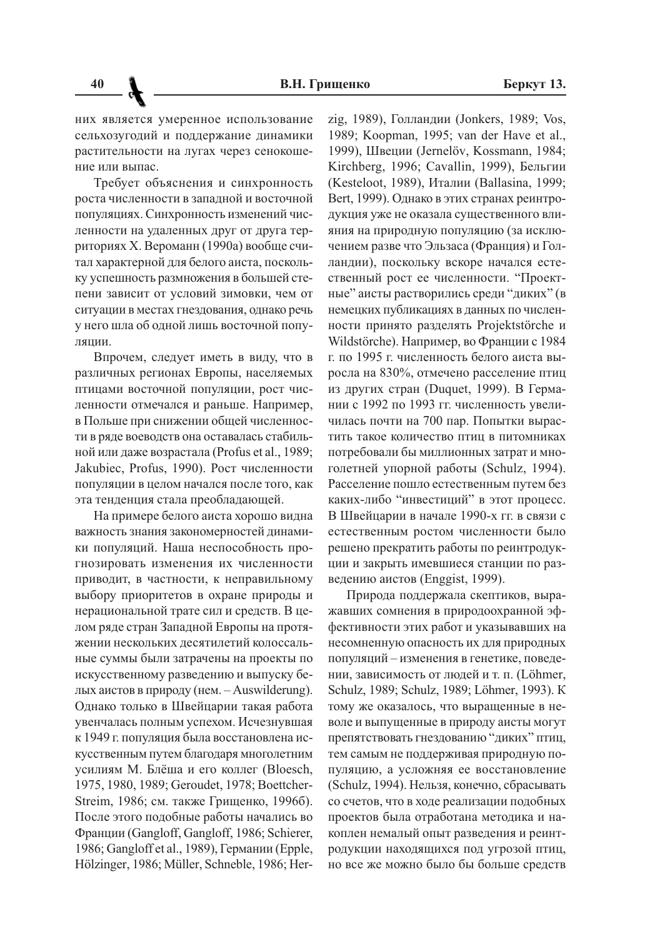них является умеренное использование сельхозугодий и поддержание динамики растительности на лугах через сенокошение или выпас.

Требует объяснения и синхронность роста численности в западной и восточной -<br>популяциях. Синхронность изменений численности на удаленных друг от друга территориях Х. Вероманн (1990а) вообще счи-.<br>Тал характерной для белого аиста, поскольку успешность размножения в большей степени зависит от условий зимовки, чем от ситуации в местах гнездования, однако речь у него шла об одной лишь восточной популяции.

Впрочем, следует иметь в виду, что в различных регионах Европы, населяемых -<br>птицами восточной популяции, рост численности отмечался и раньше. Например, в Польше при снижении общей численности в ряде воеводств она оставалась стабильной или лаже возрастала (Profus et al., 1989: Jakubiec. Profus. 1990). Рост численности популяции в целом начался после того, как эта тенденция стала преобладающей.

На примере белого аиста хорошо видна важность знания закономерностей динамики популяций. Наша неспособность прогнозировать изменения их численности приводит, в частности, к неправильному выбору приоритетов в охране природы и нерациональной трате сил и средств. В целом ряде стран Западной Европы на протяжении нескольких десятилетий колоссальные суммы были затрачены на проекты по искусственному разведению и выпуску белых аистов в природу (нем.  $-$  Auswilderung). Однако только в Швейцарии такая работа увенчалась полным успехом. Исчезнувшая .<br>к 1949 г. популяция была восстановлена искусственным путем благодаря многолетним усилиям М. Блёша и его коллег (Bloesch, 1975, 1980, 1989; Geroudet, 1978; Boettcher-Streim, 1986; см. также Гришенко, 1996б). После этого подобные работы начались во Франции (Gangloff, Gangloff, 1986; Schierer, 1986; Gangloff et al., 1989), Германии (Epple, Hölzinger, 1986; Müller, Schneble, 1986; Her-

zig, 1989), Голландии (Jonkers, 1989; Vos. 1989: Koopman, 1995: van der Have et al., 1999), Швеции (Jernelöv, Kossmann, 1984; Kirchberg, 1996; Cavallin, 1999), Бельгии (Kesteloot, 1989), Италии (Ballasina, 1999; Bert, 1999). Однако в этих странах реинтродукция уже не оказала существенного влилния на природную популяцию (за исключением разве что Эльзаса (Франция) и Голландии), поскольку вскоре начался естественный рост ее численности. "Проектные" аисты растворились среди "диких" (в немецких публикациях в данных по численности принято разделять Projektstörche и Wildstörche). Например, во Франции с 1984 г. по 1995 г. численность белого аиста выросла на 830%, отмечено расселение птиц  $H_3$  других стран (Duquet, 1999). В Германии с 1992 по 1993 гг. численность увеличилась почти на 700 пар. Попытки вырастить такое количество птиц в питомниках потребовали бы миллионных затрат и многолетней упорной работы (Schulz, 1994). Расселение пошло естественным путем без каких-либо "инвестиций" в этот процесс. В Швейцарии в начале 1990-х гг. в связи с естественным ростом численности было решено прекратить работы по реинтродук--<br>ции и закрыть имевшиеся станции по разведению аистов (Enggist, 1999).

Природа поддержала скептиков, выражавших сомнения в природоохранной эффективности этих работ и указывавших на несомненную опасность их для природных популяций - изменения в генетике, поведении, зависимость от людей и т. п. (Löhmer, Schulz, 1989; Schulz, 1989; Löhmer, 1993). K тому же оказалось, что выращенные в неволе и выпущенные в природу аисты могут препятствовать гнездованию "диких" птиц, -<br>Тем самым не поддерживая природную популяцию, а усложняя ее восстановление (Schulz, 1994). Нельзя, конечно, сбрасывать со счетов, что в ходе реализации подобных проектов была отработана методика и на--<br>коплен немалый опыт разведения и реинтродукции находящихся под угрозой птиц, но все же можно было бы больше средств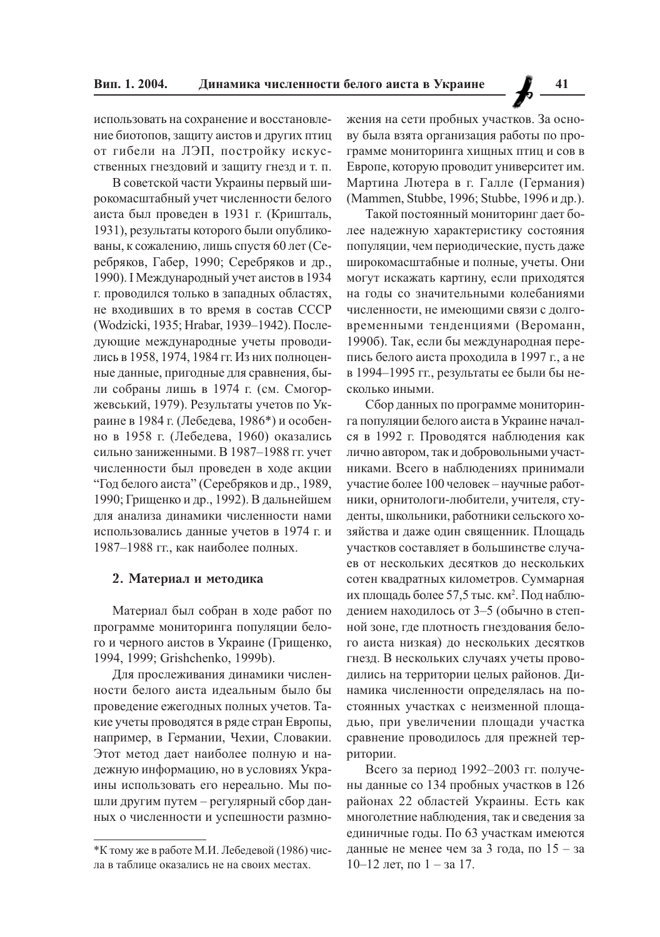использовать на сохранение и восстановление биотопов, защиту аистов и других птиц от гибели на ЛЭП, постройку искусственных гнездовий и защиту гнезд и т. п.

В советской части Украины первый широкомасштабный учет численности белого аиста был проведен в 1931 г. (Кришталь, 1931), результаты которого были опубликованы, к сожалению, лишь спустя 60 лет (Серебряков, Габер, 1990; Серебряков и др., 1990). І Международный учет аистов в 1934 г. проводился только в западных областях, не входивших в то время в состав СССР (Wodzicki, 1935; Hrabar, 1939–1942). Последующие международные учеты проводились в 1958, 1974, 1984 гг. Из них полноценные данные, пригодные для сравнения, были собраны лишь в 1974 г. (см. Смогоржевський, 1979). Результаты учетов по Украине в 1984 г. (Лебедева, 1986\*) и особенно в 1958 г. (Лебедева, 1960) оказались сильно заниженными. В 1987-1988 гг. учет численности был проведен в ходе акции "Год белого аиста" (Серебряков и др., 1989, 1990; Грищенко и др., 1992). В дальнейшем для анализа динамики численности нами использовались данные учетов в 1974 г. и 1987-1988 гг., как наиболее полных.

#### 2. Материал и методика

Материал был собран в ходе работ по программе мониторинга популяции белого и черного аистов в Украине (Грищенко, 1994, 1999; Grishchenko, 1999b).

Для прослеживания динамики численности белого аиста идеальным было бы проведение ежегодных полных учетов. Такие учеты проводятся в ряде стран Европы, например, в Германии, Чехии, Словакии. Этот метод дает наиболее полную и надежную информацию, но в условиях Украины использовать его нереально. Мы пошли другим путем - регулярный сбор данных о численности и успешности размно-

жения на сети пробных участков. За основу была взята организация работы по программе мониторинга хищных птиц и сов в Европе, которую проводит университет им. Мартина Лютера в г. Галле (Германия) (Mammen, Stubbe, 1996; Stubbe, 1996 и др.).

Такой постоянный мониторинг дает более надежную характеристику состояния популяции, чем периодические, пусть даже широкомасштабные и полные, учеты. Они могут искажать картину, если приходятся на голы со значительными колебаниями численности, не имеющими связи с долговременными тенденциями (Вероманн, 1990б). Так, если бы международная перепись белого аиста проходила в 1997 г., а не в 1994-1995 гг., результаты ее были бы несколько иными.

Сбор данных по программе мониторинга популяции белого аиста в Украине начался в 1992 г. Проводятся наблюдения как лично автором, так и добровольными участниками. Всего в наблюдениях принимали участие более 100 человек - научные работники, орнитологи-любители, учителя, студенты, школьники, работники сельского хозяйства и даже один священник. Площадь участков составляет в большинстве случаев от нескольких десятков до нескольких сотен квадратных километров. Суммарная их площадь более 57,5 тыс. км<sup>2</sup>. Под наблюдением находилось от 3-5 (обычно в степной зоне, где плотность гнездования белого аиста низкая) до нескольких десятков гнезд. В нескольких случаях учеты проводились на территории целых районов. Динамика численности определялась на постоянных участках с неизменной площадью, при увеличении площади участка сравнение проводилось для прежней территории.

Всего за период 1992-2003 гг. получены данные со 134 пробных участков в 126 районах 22 областей Украины. Есть как многолетние наблюдения, так и сведения за единичные годы. По 63 участкам имеются данные не менее чем за 3 года, по  $15 - 3a$  $10-12$  лет, по  $1-$ за 17.

<sup>\*</sup>К тому же в работе М.И. Лебедевой (1986) числа в таблице оказались не на своих местах.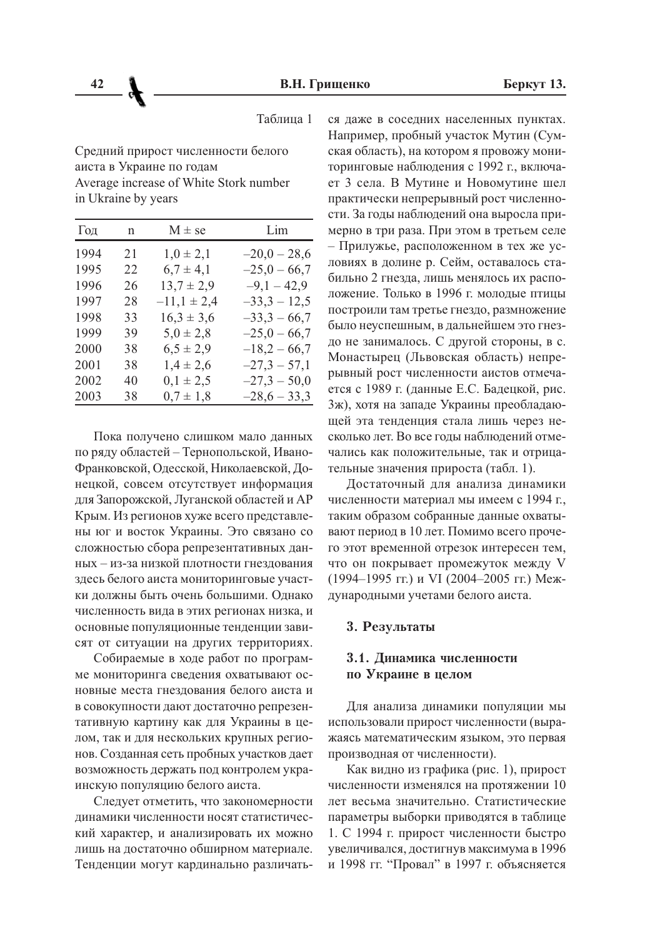Таблица 1

Средний прирост численности белого аиста в Украине по годам Average increase of White Stork number in Ukraine by years

| Год  | $\mathbf n$ | $M \pm se$      | Lim            |
|------|-------------|-----------------|----------------|
| 1994 | 21          | $1,0 \pm 2,1$   | $-20,0-28,6$   |
| 1995 | 22          | $6,7 \pm 4,1$   | $-25,0 - 66,7$ |
| 1996 | 26          | $13,7 \pm 2,9$  | $-9,1-42,9$    |
| 1997 | 28          | $-11,1 \pm 2,4$ | $-33,3 - 12,5$ |
| 1998 | 33          | $16,3 \pm 3,6$  | $-33,3 - 66,7$ |
| 1999 | 39          | $5,0 \pm 2,8$   | $-25,0 - 66,7$ |
| 2000 | 38          | $6,5 \pm 2,9$   | $-18,2-66,7$   |
| 2001 | 38          | $1,4 \pm 2,6$   | $-27,3 - 57,1$ |
| 2002 | 40          | $0,1 \pm 2,5$   | $-27,3 - 50,0$ |
| 2003 | 38          | $0,7 \pm 1,8$   | $-28,6-33,3$   |
|      |             |                 |                |

Пока получено слишком мало данных по ряду областей - Тернопольской, Ивано-Франковской, Одесской, Николаевской, Донецкой, совсем отсутствует информация для Запорожской, Луганской областей и АР Крым. Из регионов хуже всего представлены юг и восток Украины. Это связано со сложностью сбора репрезентативных данных - из-за низкой плотности гнездования здесь белого аиста мониторинговые участки должны быть очень большими. Однако численность вида в этих регионах низка, и основные популяционные тенденции зависят от ситуации на других территориях.

Собираемые в ходе работ по программе мониторинга сведения охватывают основные места гнездования белого аиста и в совокупности дают достаточно репрезентативную картину как для Украины в целом, так и для нескольких крупных регионов. Созданная сеть пробных участков дает возможность держать под контролем украинскую популяцию белого аиста.

Следует отметить, что закономерности динамики численности носят статистический характер, и анализировать их можно лишь на достаточно обширном материале. Тенденции могут кардинально различаться даже в соседних населенных пунктах. Например, пробный участок Мутин (Сумская область), на котором я провожу мониторинговые наблюдения с 1992 г., включает 3 села. В Мутине и Новомутине шел практически непрерывный рост численности. За годы наблюдений она выросла примерно в три раза. При этом в третьем селе - Прилужье, расположенном в тех же условиях в долине р. Сейм, оставалось стабильно 2 гнезда, лишь менялось их расположение. Только в 1996 г. молодые птицы построили там третье гнездо, размножение было неуспешным, в дальнейшем это гнездо не занималось. С другой стороны, в с. Монастырец (Львовская область) непрерывный рост численности аистов отмечается с 1989 г. (данные Е.С. Бадецкой, рис. 3ж), хотя на западе Украины преобладающей эта тенденция стала лишь через несколько лет. Во все годы наблюдений отмечались как положительные, так и отрицательные значения прироста (табл. 1).

Достаточный для анализа динамики численности материал мы имеем с 1994 г., таким образом собранные данные охватывают период в 10 лет. Помимо всего прочего этот временной отрезок интересен тем, что он покрывает промежуток между V (1994-1995 гг.) и VI (2004-2005 гг.) Международными учетами белого аиста.

#### 3. Результаты

## 3.1. Динамика численности по Украине в целом

Для анализа динамики популяции мы использовали прирост численности (выражаясь математическим языком, это первая производная от численности).

Как видно из графика (рис. 1), прирост численности изменялся на протяжении 10 лет весьма значительно. Статистические параметры выборки приводятся в таблице 1. С 1994 г. прирост численности быстро увеличивался, достигнув максимума в 1996 и 1998 гг. "Провал" в 1997 г. объясняется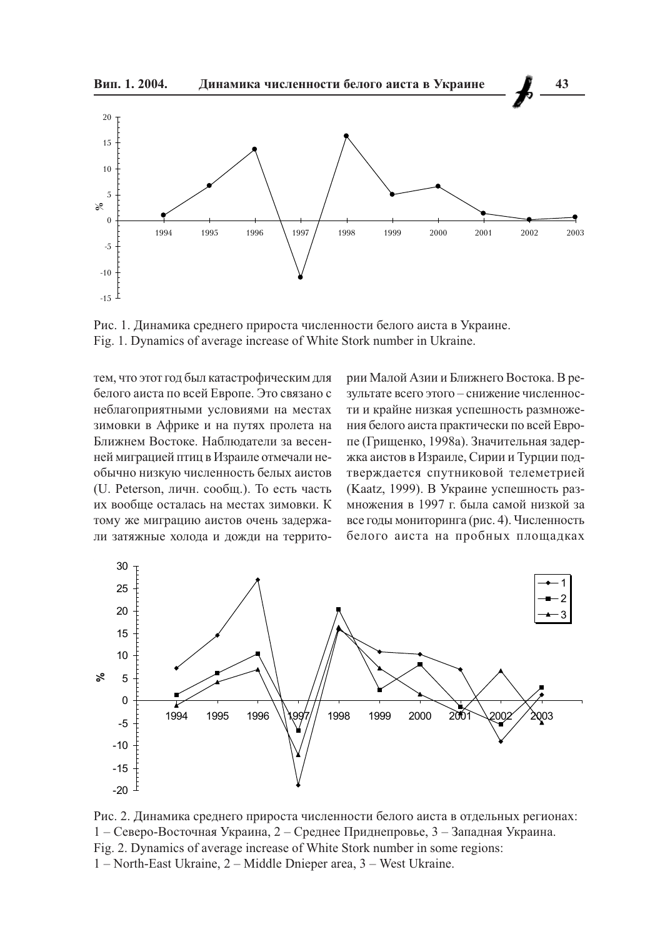

Рис. 1. Динамика среднего прироста численности белого аиста в Украине. Fig. 1. Dynamics of average increase of White Stork number in Ukraine.

тем, что этот год был катастрофическим для белого аиста по всей Европе. Это связано с неблагоприятными условиями на местах зимовки в Африке и на путях пролета на Ближнем Востоке. Наблюдатели за весенней миграцией птиц в Израиле отмечали необычно низкую численность белых аистов (U. Peterson, личн. сообщ.). То есть часть их вообще осталась на местах зимовки. К тому же миграцию аистов очень задержали затяжные холода и дожди на территории Малой Азии и Ближнего Востока. В результате всего этого - снижение численности и крайне низкая успешность размножения белого аиста практически по всей Европе (Грищенко, 1998а). Значительная задержка аистов в Израиле, Сирии и Турции подтверждается спутниковой телеметрией (Kaatz, 1999). В Украине успешность размножения в 1997 г. была самой низкой за все годы мониторинга (рис. 4). Численность белого аиста на пробных площадках



Рис. 2. Динамика среднего прироста численности белого аиста в отдельных регионах: 1 – Северо-Восточная Украина, 2 – Среднее Приднепровье, 3 – Западная Украина. Fig. 2. Dynamics of average increase of White Stork number in some regions: 1 – North-East Ukraine, 2 – Middle Dnieper area, 3 – West Ukraine.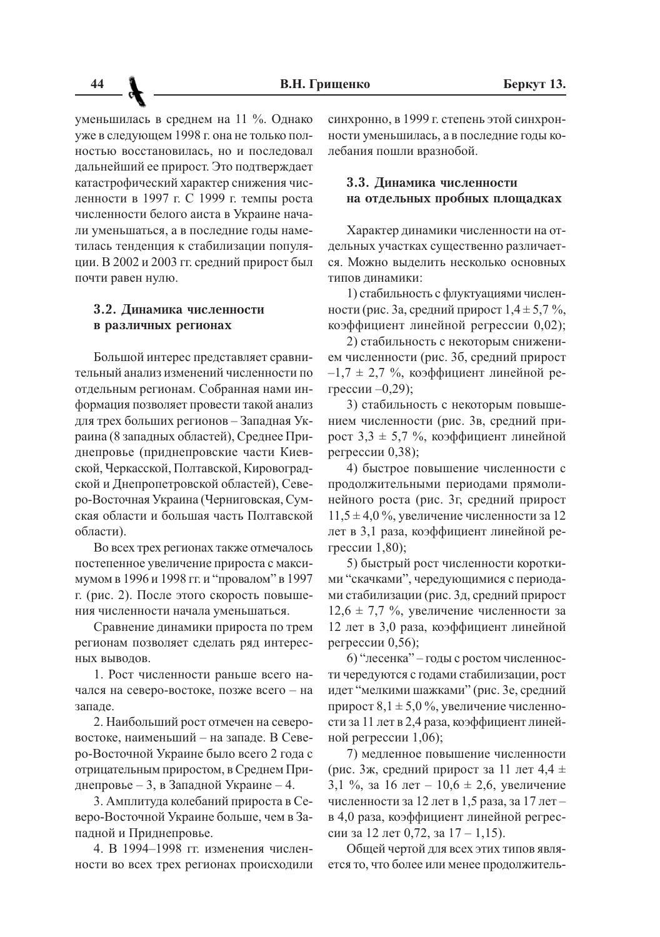уменьшилась в среднем на 11 %. Однако уже в следующем 1998 г. она не только полностью восстановилась, но и последовал дальнейший ее прирост. Это подтверждает катастрофический характер снижения численности в 1997 г. С 1999 г. темпы роста численности белого аиста в Украине начали уменьшаться, а в последние годы наметилась тенденция к стабилизации популяции. В 2002 и 2003 гг. средний прирост был почти равен нулю.

## 3.2. Динамика численности в различных регионах

Большой интерес представляет сравнительный анализ изменений численности по отдельным регионам. Собранная нами информация позволяет провести такой анализ для трех больших регионов - Западная Украина (8 западных областей), Среднее Приднепровье (приднепровские части Киевской, Черкасской, Полтавской, Кировоградской и Днепропетровской областей), Северо-Восточная Украина (Черниговская, Сумская области и большая часть Полтавской области).

Во всех трех регионах также отмечалось постепенное увеличение прироста с максимумом в 1996 и 1998 гг. и "провалом" в 1997 г. (рис. 2). После этого скорость повышения численности начала уменьшаться.

Сравнение динамики прироста по трем регионам позволяет сделать ряд интерес-НЫХ ВЫВОДОВ.

1. Рост численности раньше всего начался на северо-востоке, позже всего - на запале.

2. Наибольший рост отмечен на северовостоке, наименьший - на западе. В Северо-Восточной Украине было всего 2 года с отрицательным приростом, в Среднем Приднепровье - 3, в Западной Украине - 4.

3. Амплитуда колебаний прироста в Северо-Восточной Украине больше, чем в Западной и Приднепровье.

4. В 1994-1998 гг. изменения численности во всех трех регионах происходили синхронно, в 1999 г. степень этой синхронности уменьшилась, а в последние годы колебания пошли вразнобой.

# 3.3. Динамика численности на отдельных пробных площадках

Характер динамики численности на отдельных участках существенно различается. Можно вылелить несколько основных типов линамики:

1) стабильность с флуктуациями численности (рис. За, средний прирост  $1,4 \pm 5,7\%$ , коэффициент линейной регрессии 0,02);

2) стабильность с некоторым снижением численности (рис. 3б, средний прирост  $-1,7 \pm 2,7$  %, коэффициент линейной регрессии -0,29);

3) стабильность с некоторым повышением численности (рис. 3в, средний прирост  $3.3 \pm 5.7$  %, коэффициент линейной регрессии 0,38);

4) быстрое повышение численности с продолжительными периодами прямолинейного роста (рис. 3г, средний прирост  $11,5 \pm 4,0\%$ , увеличение численности за 12 лет в 3,1 раза, коэффициент линейной регрессии 1,80);

5) быстрый рост численности короткими "скачками", чередующимися с периодами стабилизации (рис. 3д, средний прирост  $12.6 \pm 7.7$  %, увеличение численности за 12 лет в 3,0 раза, коэффициент линейной регрессии 0,56);

6) "лесенка" - годы с ростом численности чередуются с годами стабилизации, рост идет "мелкими шажками" (рис. 3е, средний прирост  $8.1 \pm 5.0$  %, увеличение численности за 11 лет в 2,4 раза, коэффициент линейной регрессии 1,06);

7) медленное повышение численности (рис. 3ж, средний прирост за 11 лет 4,4  $\pm$ 3,1 %, за 16 лет – 10,6  $\pm$  2,6, увеличение численности за 12 лет в 1,5 раза, за 17 летв 4,0 раза, коэффициент линейной регрессии за 12 лет 0,72, за 17 - 1,15).

Общей чертой для всех этих типов является то, что более или менее продолжитель-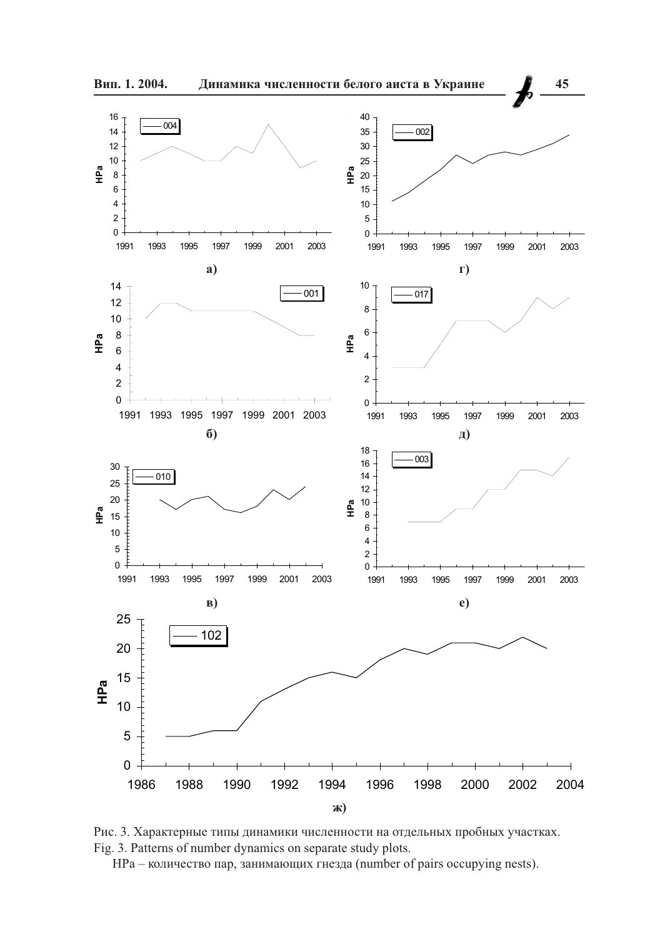

Рис. 3. Характерные типы динамики численности на отдельных пробных участках. Fig. 3. Patterns of number dynamics on separate study plots.

HPa - количество пар, занимающих гнезда (number of pairs occupying nests).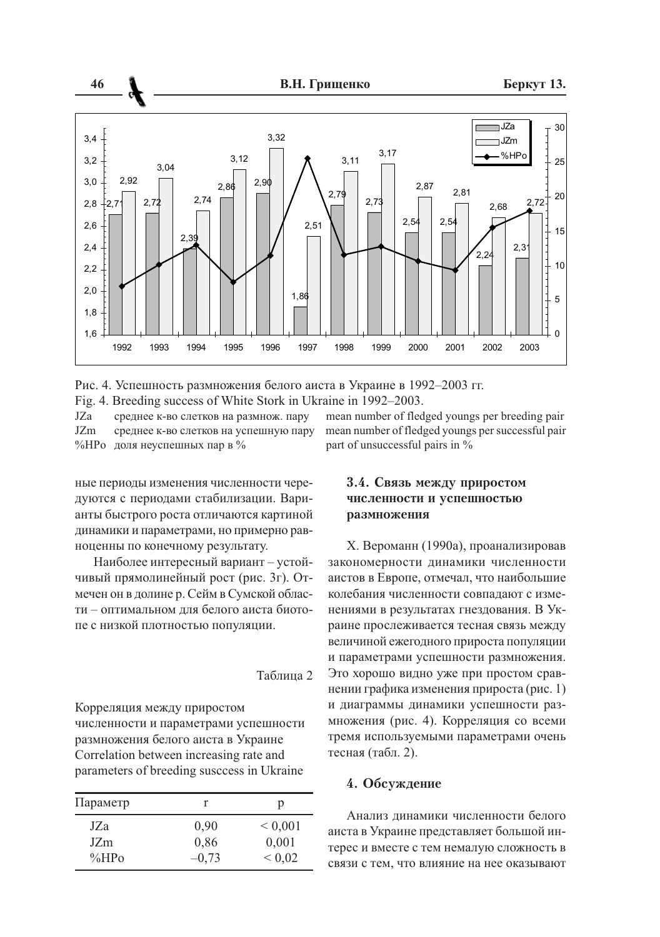

Рис. 4. Успешность размножения белого аиста в Украине в 1992-2003 гг.

Fig. 4. Breeding success of White Stork in Ukraine in  $\overline{1992-2003}$ .

 $JZa$  среднее к-во слетков на размнож, пару — mean number

 $JZm$  среднее к-во слетков на успешную пару mean number %НРо доля неуспешных пар в %

ные периоды изменения численности чередуются с периодами стабилизации. Варианты быстрого роста отличаются картиной динамики и параметрами, но примерно равноценны по конечному результату.

Наиболее интересный вариант - устойчивый прямолинейный рост (рис. 3г). Отмечен он в долине р. Сейм в Сумской области - оптимальном для белого аиста биотопе с низкой плотностью популяции.

### Таблина 2

Корреляция между приростом численности и параметрами успешности размножения белого аиста в Украине Correlation between increasing rate and parameters of breeding suscesss in Ukraine

| Параметр               |              | р                     |
|------------------------|--------------|-----------------------|
| JZa<br>JZ <sub>m</sub> | 0.90<br>0.86 | ${}_{0.001}$<br>0,001 |
| $\%HP_0$               | $-0.73$      | ${}< 0.02$            |

of fledged youngs per breeding pair of fledged youngs per successful pair t of unsuccessful pairs in  $\%$ 

# 3.4. Связь между приростом численности и успешностью размножения

X. Вероманн (1990а), проанализировав закономерности динамики численности аистов в Европе, отмечал, что наибольшие колебания численности совпадают с изменениями в результатах гнездования. В Украине прослеживается тесная связь между величиной ежегодного прироста популяции и параметрами успешности размножения. Это хорошо видно уже при простом сравнении графика изменения прироста (рис. 1) и диаграммы динамики успешности размножения (рис. 4). Корреляция со всеми тремя используемыми параметрами очень тесная (табл. 2).

## 4. Обсуждение

Анализ динамики численности белого аиста в Украине представляет большой интерес и вместе с тем немалую сложность в связи с тем, что влияние на нее оказывают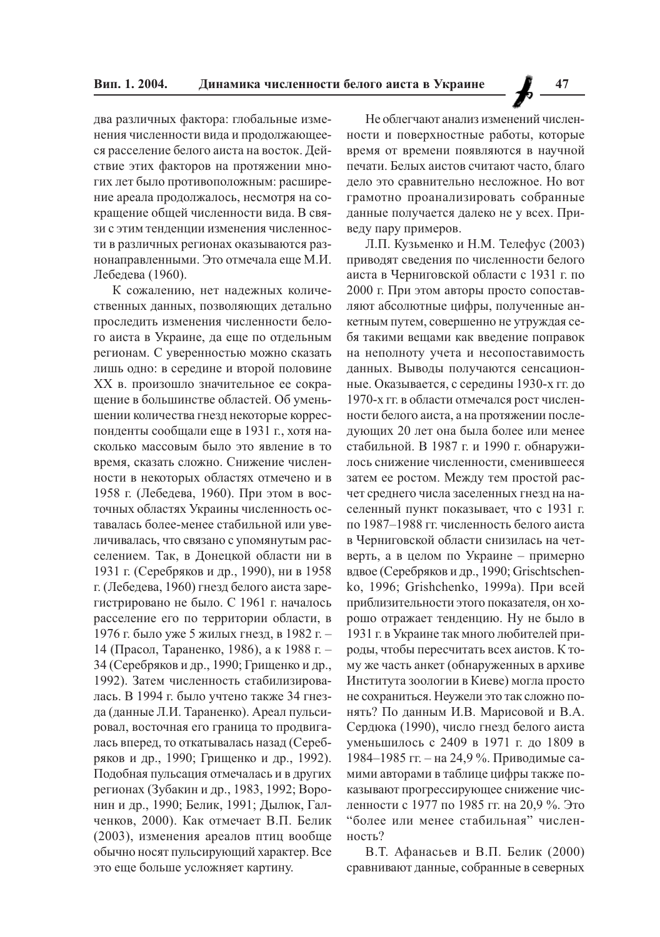два различных фактора: глобальные изменения численности вида и продолжающееся расселение белого аиста на восток. Действие этих факторов на протяжении многих лет было противоположным: расширение ареала продолжалось, несмотря на сокрашение общей численности вила. В связи с этим тенленнии изменения численности в различных регионах оказываются раз-

нонаправленными. Это отмечала еще М.И.

Лебедева (1960). К сожалению, нет надежных количественных данных, позволяющих детально проследить изменения численности белого аиста в Украине, да еще по отдельным регионам. С уверенностью можно сказать лишь одно: в середине и второй половине XX в. произошло значительное ее сокращение в большинстве областей. Об уменьшении количества гнезд некоторые корреспонденты сообщали еще в 1931 г., хотя насколько массовым было это явление в то время, сказать сложно. Снижение численности в некоторых областях отмечено и в 1958 г. (Лебедева, 1960). При этом в восточных областях Украины численность оставалась более-менее стабильной или увеличивалась, что связано с упомянутым расселением. Так, в Донецкой области ни в 1931 г. (Серебряков и др., 1990), ни в 1958 г. (Лебедева, 1960) гнезд белого аиста зарегистрировано не было. С 1961 г. началось расселение его по территории области, в 1976 г. было уже 5 жилых гнезд, в 1982 г. -14 (Прасол, Тараненко, 1986), а к 1988 г. – 34 (Серебряков и др., 1990; Грищенко и др., 1992). Затем численность стабилизировалась. В 1994 г. было учтено также 34 гнезда (данные Л.И. Тараненко). Ареал пульсировал, восточная его граница то продвигалась вперед, то откатывалась назад (Серебряков и др., 1990; Грищенко и др., 1992). Подобная пульсация отмечалась и в других регионах (Зубакин и др., 1983, 1992; Воронин и др., 1990; Белик, 1991; Дылюк, Галченков, 2000). Как отмечает В.П. Белик (2003), изменения ареалов птиц вообще обычно носят пульсирующий характер. Все это еще больше усложняет картину.

Не облегчают анализ изменений численности и поверхностные работы, которые время от времени появляются в научной печати. Белых аистов считают часто, благо лело это сравнительно несложное. Но вот грамотно проанализировать собранные данные получается далеко не у всех. Приведу пару примеров.

Л.П. Кузьменко и Н.М. Телефус (2003) приводят сведения по численности белого аиста в Черниговской области с 1931 г. по 2000 г. При этом авторы просто сопоставляют абсолютные цифры, полученные анкетным путем, совершенно не утруждая себя такими вещами как введение поправок на неполноту учета и несопоставимость данных. Выводы получаются сенсационные. Оказывается, с середины 1930-х гг. до 1970-х гг. в области отмечался рост численности белого аиста, а на протяжении последующих 20 лет она была более или менее стабильной. В 1987 г. и 1990 г. обнаружилось снижение численности, сменившееся затем ее ростом. Между тем простой расчет среднего числа заселенных гнезд на населенный пункт показывает, что с 1931 г. по 1987-1988 гг. численность белого аиста в Черниговской области снизилась на четверть, а в целом по Украине - примерно вдвое (Серебряков и др., 1990; Grischtschenko, 1996; Grishchenko, 1999а). При всей приблизительности этого показателя, он хорошо отражает тенденцию. Ну не было в 1931 г. в Украине так много любителей природы, чтобы пересчитать всех аистов. К тому же часть анкет (обнаруженных в архиве Института зоологии в Киеве) могла просто не сохраниться. Неужели это так сложно понять? По данным И.В. Марисовой и В.А. Сердюка (1990), число гнезд белого аиста уменьшилось с 2409 в 1971 г. до 1809 в 1984-1985 гг. - на 24,9 %. Приводимые самими авторами в таблице цифры также показывают прогрессирующее снижение численности с 1977 по 1985 гг. на 20,9 %. Это "более или менее стабильная" численность?

В.Т. Афанасьев и В.П. Белик (2000) сравнивают данные, собранные в северных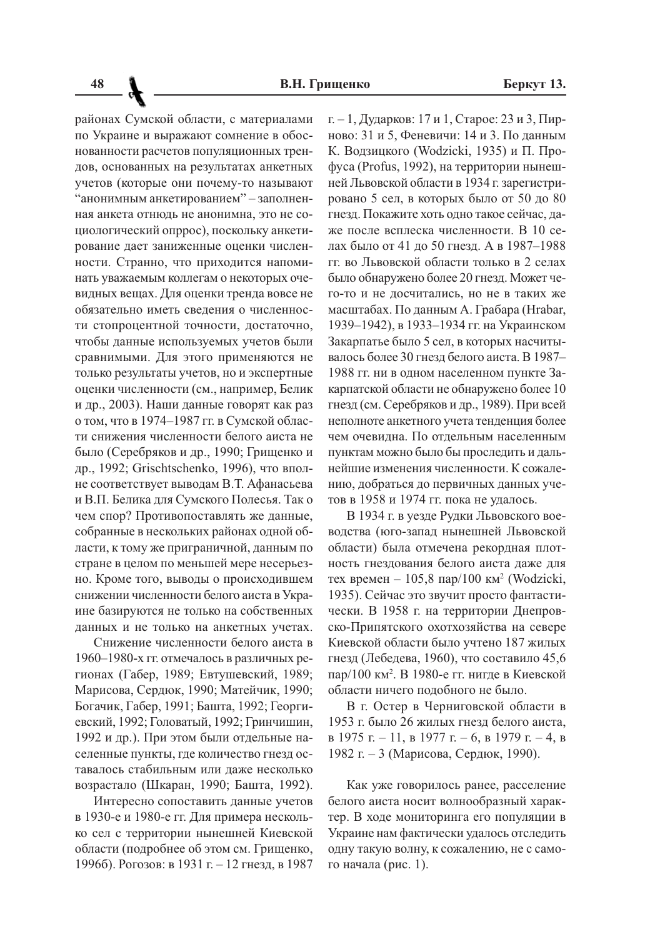районах Сумской области, с материалами по Украине и выражают сомнение в обоснованности расчетов популяционных трендов, основанных на результатах анкетных учетов (которые они почему-то называют "анонимным анкетированием" - заполненная анкета отнюдь не анонимна, это не социологический опррос), поскольку анкетирование дает заниженные оценки численности. Странно, что приходится напоминать уважаемым коллегам о некоторых очевидных вещах. Для оценки тренда вовсе не обязательно иметь сведения о численности стопроцентной точности, достаточно, чтобы данные используемых учетов были сравнимыми. Для этого применяются не только результаты учетов, но и экспертные оценки численности (см., например, Белик и др., 2003). Наши данные говорят как раз о том, что в 1974-1987 гг. в Сумской области снижения численности белого аиста не было (Серебряков и др., 1990; Грищенко и др., 1992; Grischtschenko, 1996), что вполне соответствует выводам В.Т. Афанасьева и В.П. Белика для Сумского Полесья. Так о чем спор? Противопоставлять же данные, собранные в нескольких районах одной области, к тому же приграничной, данным по стране в целом по меньшей мере несерьезно. Кроме того, выводы о происходившем снижении численности белого аиста в Украине базируются не только на собственных данных и не только на анкетных учетах.

Снижение численности белого аиста в 1960-1980-х гг. отмечалось в различных регионах (Габер, 1989; Евтушевский, 1989; Марисова, Сердюк, 1990; Матейчик, 1990; Богачик, Габер, 1991; Башта, 1992; Георгиевский, 1992; Головатый, 1992; Гринчишин, 1992 и др.). При этом были отдельные населенные пункты, где количество гнезд оставалось стабильным или даже несколько возрастало (Шкаран, 1990; Башта, 1992).

Интересно сопоставить данные учетов в 1930-е и 1980-е гг. Для примера несколько сел с территории нынешней Киевской области (подробнее об этом см. Грищенко, 1996б). Рогозов: в 1931 г. – 12 гнезд, в 1987

г. – 1, Дударков: 17 и 1, Старое: 23 и 3, Пирново: 31 и 5, Феневичи: 14 и 3. По данным К. Водзицкого (Wodzicki, 1935) и П. Профуса (Profus, 1992), на территории нынешней Львовской области в 1934 г. зарегистрировано 5 сел, в которых было от 50 до 80 гнезд. Покажите хоть одно такое сейчас, даже после всплеска численности. В 10 селах было от 41 ло 50 гнезл. А в 1987-1988 гг. во Львовской области только в 2 селах было обнаружено более 20 гнезд. Может чего-то и не лосчитались, но не в таких же масштабах. По данным А. Грабара (Hrabar, 1939-1942), в 1933-1934 гг. на Украинском Закарпатье было 5 сел, в которых насчитывалось более 30 гнезд белого аиста. В 1987-1988 гг. ни в одном населенном пункте Закарпатской области не обнаружено более 10 гнезд (см. Серебряков и др., 1989). При всей неполноте анкетного учета тенденция более чем очевидна. По отдельным населенным пунктам можно было бы проследить и дальнейшие изменения численности. К сожалению, добраться до первичных данных учетов в 1958 и 1974 гг. пока не удалось.

В 1934 г. в уезде Рудки Львовского воеводства (юго-запад нынешней Львовской области) была отмечена рекордная плотность гнездования белого аиста даже для тех времен - 105,8 пар/100 км<sup>2</sup> (Wodzicki, 1935). Сейчас это звучит просто фантастически. В 1958 г. на территории Днепровско-Припятского охотхозяйства на севере Киевской области было учтено 187 жилых гнезд (Лебедева, 1960), что составило 45,6 пар/100 км<sup>2</sup>. В 1980-е гг. нигде в Киевской области ничего подобного не было.

В г. Остер в Черниговской области в 1953 г. было 26 жилых гнезд белого аиста,  $B$  1975 г. – 11, в 1977 г. – 6, в 1979 г. – 4, в 1982 г. – 3 (Марисова, Сердюк, 1990).

Как уже говорилось ранее, расселение белого аиста носит волнообразный характер. В ходе мониторинга его популяции в Украине нам фактически удалось отследить одну такую волну, к сожалению, не с самого начала (рис. 1).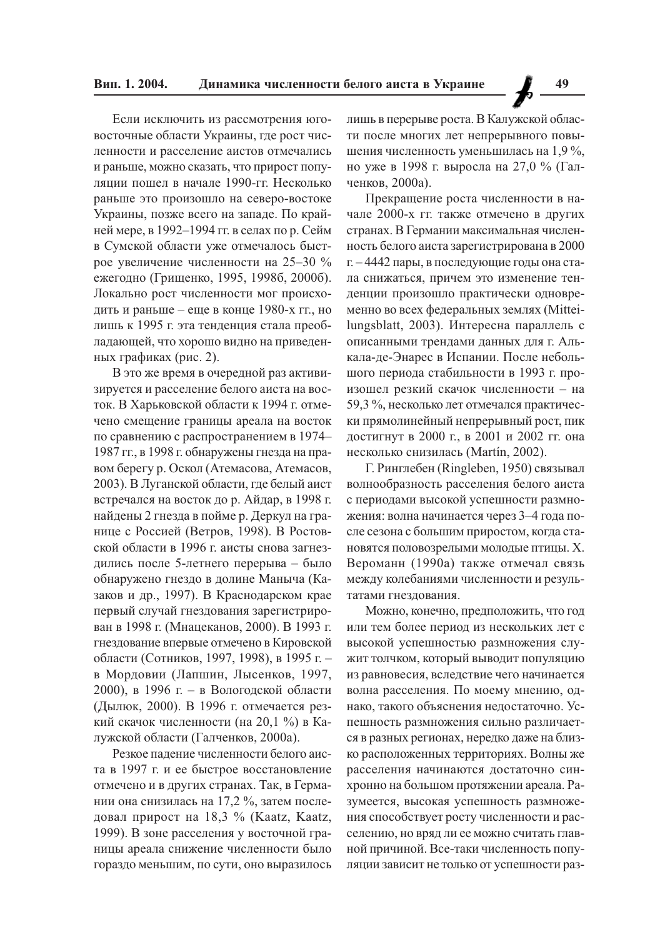Если исключить из рассмотрения юговосточные области Украины, где рост численности и расселение аистов отмечались и раньше, можно сказать, что прирост популяции пошел в начале 1990-гг. Несколько раньше это произошло на северо-востоке Украины, позже всего на западе. По крайней мере, в 1992-1994 гг. в селах по р. Сейм в Сумской области уже отмечалось быстрое увеличение численности на 25-30 % ежегодно (Грищенко, 1995, 1998б, 2000б). Локально рост численности мог происходить и раньше - еще в конце 1980-х гг., но лишь к 1995 г. эта тенденция стала преобладающей, что хорошо видно на приведенных графиках (рис. 2).

В это же время в очередной раз активизируется и расселение белого аиста на восток. В Харьковской области к 1994 г. отмечено смещение границы ареала на восток по сравнению с распространением в 1974-1987 гг., в 1998 г. обнаружены гнезда на правом берегу р. Оскол (Атемасова, Атемасов, 2003). В Луганской области, где белый аист встречался на восток до р. Айдар, в 1998 г. найдены 2 гнезда в пойме р. Деркул на границе с Россией (Ветров, 1998). В Ростовской области в 1996 г. аисты снова загнездились после 5-летнего перерыва - было обнаружено гнездо в долине Маныча (Казаков и др., 1997). В Краснодарском крае первый случай гнездования зарегистрирован в 1998 г. (Мнацеканов, 2000). В 1993 г. гнездование впервые отмечено в Кировской области (Сотников, 1997, 1998), в 1995 г. в Мордовии (Лапшин, Лысенков, 1997, 2000), в 1996 г. – в Вологодской области (Дылюк, 2000). В 1996 г. отмечается резкий скачок численности (на 20,1 %) в Калужской области (Галченков, 2000а).

Резкое падение численности белого аиста в 1997 г. и ее быстрое восстановление отмечено и в других странах. Так, в Германии она снизилась на 17,2 %, затем последовал прирост на 18,3 % (Kaatz, Kaatz, 1999). В зоне расселения у восточной границы ареала снижение численности было гораздо меньшим, по сути, оно выразилось

лишь в перерыве роста. В Калужской области после многих лет непрерывного повышения численность уменьшилась на 1,9 %, но уже в 1998 г. выросла на 27,0 % (Галченков, 2000а).

Прекращение роста численности в начале 2000-х гг. также отмечено в других странах. В Германии максимальная численность белого аиста зарегистрирована в 2000 г. – 4442 пары, в последующие годы она стала снижаться, причем это изменение тенденции произошло практически одновременно во всех федеральных землях (Mitteilungsblatt, 2003). Интересна параллель с описанными трендами данных для г. Алькала-де-Энарес в Испании. После небольшого периода стабильности в 1993 г. произошел резкий скачок численности - на 59,3 %, несколько лет отмечался практически прямолинейный непрерывный рост, пик достигнут в 2000 г., в 2001 и 2002 гг. она несколько снизилась (Martín, 2002).

Г. Ринглебен (Ringleben, 1950) связывал волнообразность расселения белого аиста с периодами высокой успешности размножения: волна начинается через 3-4 года после сезона с большим приростом, когда становятся половозрелыми молодые птицы. Х. Вероманн (1990а) также отмечал связь между колебаниями численности и результатами гнездования.

Можно, конечно, предположить, что год или тем более период из нескольких лет с высокой успешностью размножения служит толчком, который выводит популяцию из равновесия, вследствие чего начинается волна расселения. По моему мнению, однако, такого объяснения недостаточно. Успешность размножения сильно различается в разных регионах, нередко даже на близко расположенных территориях. Волны же расселения начинаются достаточно синхронно на большом протяжении ареала. Разумеется, высокая успешность размножения способствует росту численности и расселению, но вряд ли ее можно считать главной причиной. Все-таки численность популяции зависит не только от успешности раз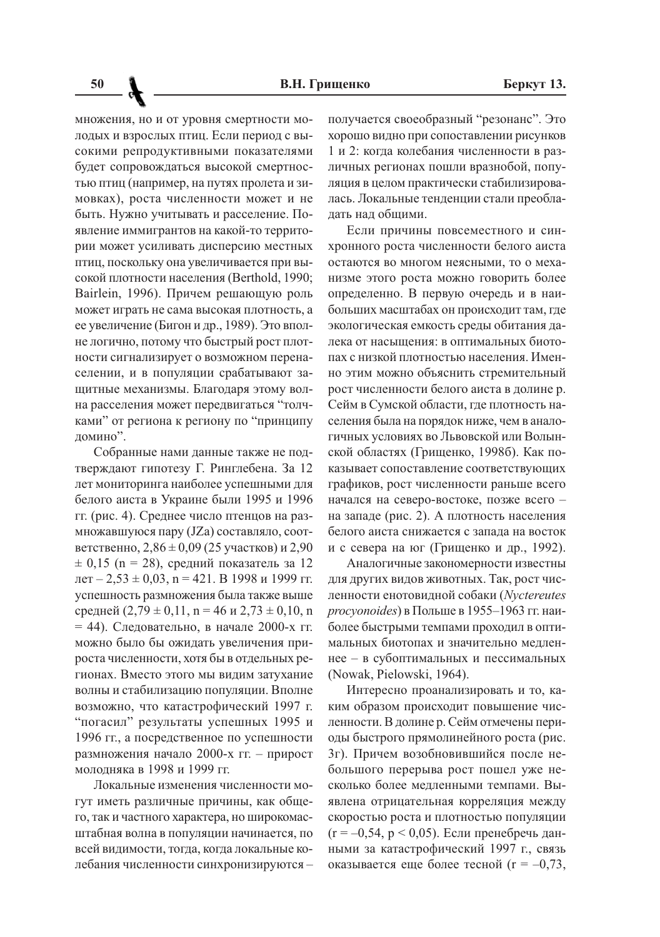множения, но и от уровня смертности молодых и взрослых птиц. Если период с высокими репродуктивными показателями будет сопровождаться высокой смертностью птиц (например, на путях пролета и зимовках), роста численности может и не быть. Нужно учитывать и расселение. Появление иммигрантов на какой-то территории может усиливать дисперсию местных птиц, поскольку она увеличивается при высокой плотности населения (Berthold, 1990; Bairlein, 1996). Причем решающую роль может играть не сама высокая плотность, а ее увеличение (Бигон и др., 1989). Это вполне логично, потому что быстрый рост плотности сигнализирует о возможном перенаселении, и в популяции срабатывают защитные механизмы. Благодаря этому волна расселения может передвигаться "толчками" от региона к региону по "принципу домино".

Собранные нами данные также не подтверждают гипотезу Г. Ринглебена. За 12 лет мониторинга наиболее успешными для белого аиста в Украине были 1995 и 1996 гг. (рис. 4). Среднее число птенцов на размножавшуюся пару (JZa) составляло, соответственно,  $2,86 \pm 0,09$  (25 участков) и 2,90  $\pm$  0,15 (n = 28), средний показатель за 12  $ner - 2.53 \pm 0.03$ ,  $n = 421$ . B 1998 и 1999 гг. успешность размножения была также выше средней  $(2,79 \pm 0,11)$ , n = 46 и 2,73  $\pm$  0,10, n  $= 44$ ). Следовательно, в начале 2000-х гг. можно было бы ожидать увеличения прироста численности, хотя бы в отдельных регионах. Вместо этого мы видим затухание волны и стабилизацию популяции. Вполне возможно, что катастрофический 1997 г. "погасил" результаты успешных 1995 и 1996 гг., а посредственное по успешности размножения начало 2000-х гг. - прирост молодняка в 1998 и 1999 гг.

Локальные изменения численности могут иметь различные причины, как общего, так и частного характера, но широкомасштабная волна в популяции начинается, по всей видимости, тогда, когда локальные колебания численности синхронизируются -

получается своеобразный "резонанс". Это хорошо видно при сопоставлении рисунков 1 и 2: когда колебания численности в различных регионах пошли вразнобой, популяция в целом практически стабилизировалась. Локальные тенденции стали преобладать над общими.

Если причины повсеместного и синхронного роста численности белого аиста остаются во многом неясными, то о механизме этого роста можно говорить более определенно. В первую очередь и в наибольших масштабах он происходит там, где экологическая емкость среды обитания далека от насыщения: в оптимальных биотопах с низкой плотностью населения. Именно этим можно объяснить стремительный рост численности белого аиста в долине р. Сейм в Сумской области, где плотность населения была на порядок ниже, чем в аналогичных условиях во Львовской или Волынской областях (Грищенко, 1998б). Как показывает сопоставление соответствующих графиков, рост численности раньше всего начался на северо-востоке, позже всего на западе (рис. 2). А плотность населения белого аиста снижается с запала на восток и с севера на юг (Грищенко и др., 1992).

Аналогичные закономерности известны для других видов животных. Так, рост численности енотовидной собаки (Nyctereutes procyonoides) в Польше в 1955-1963 гг. наиболее быстрыми темпами проходил в оптимальных биотопах и значительно медленнее - в субоптимальных и пессимальных (Nowak, Pielowski, 1964).

Интересно проанализировать и то, каким образом происходит повышение численности. В долине р. Сейм отмечены периоды быстрого прямолинейного роста (рис. 3г). Причем возобновившийся после небольшого перерыва рост пошел уже несколько более медленными темпами. Выявлена отрицательная корреляция между скоростью роста и плотностью популяции  $(r = -0.54, p < 0.05)$ . Если пренебречь данными за катастрофический 1997 г., связь оказывается еще более тесной ( $r = -0.73$ ,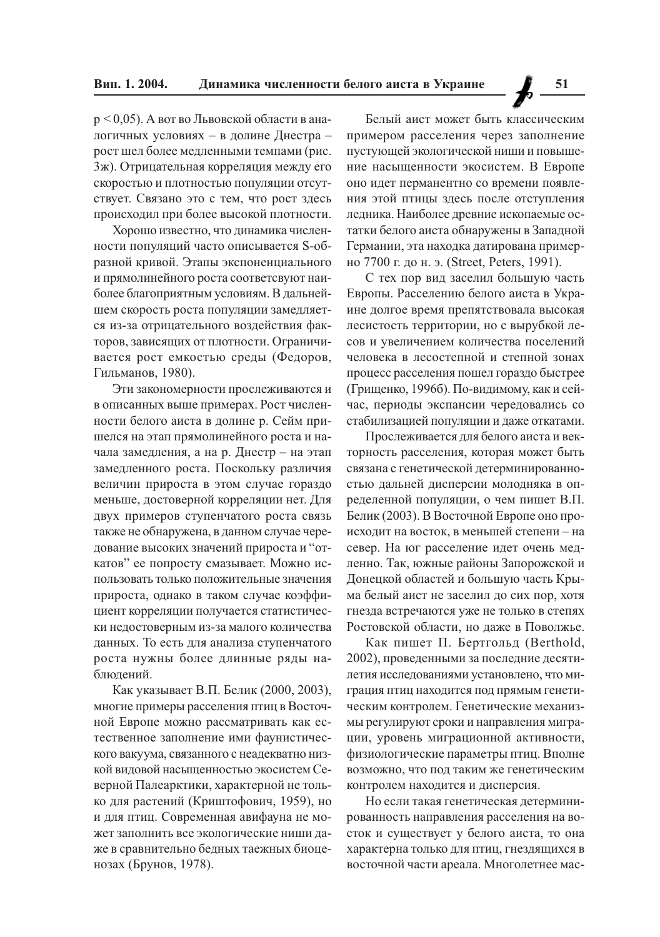$p < 0.05$ ). А вот во Львовской области в аналогичных условиях - в долине Днестра рост шел более медленными темпами (рис. 3ж). Отрицательная корреляция между его скоростью и плотностью популяции отсутствует. Связано это с тем, что рост здесь происходил при более высокой плотности.

Хорошо известно, что динамика численности популяций часто описывается S-образной кривой. Этапы экспоненциального и прямолинейного роста соответсвуют наиболее благоприятным условиям. В дальнейшем скорость роста популяции замедляется из-за отрицательного воздействия факторов, зависящих от плотности. Ограничивается рост емкостью среды (Федоров, Гильманов, 1980).

Эти закономерности прослеживаются и в описанных выше примерах. Рост численности белого аиста в долине р. Сейм пришелся на этап прямолинейного роста и начала замедления, а на р. Днестр - на этап замедленного роста. Поскольку различия величин прироста в этом случае гораздо меньше, достоверной корреляции нет. Для двух примеров ступенчатого роста связь также не обнаружена, в данном случае чередование высоких значений прироста и "откатов" ее попросту смазывает. Можно использовать только положительные значения прироста, однако в таком случае коэффициент корреляции получается статистически недостоверным из-за малого количества данных. То есть для анализа ступенчатого роста нужны более длинные ряды наблюдений.

Как указывает В.П. Белик (2000, 2003), многие примеры расселения птиц в Восточной Европе можно рассматривать как естественное заполнение ими фаунистического вакуума, связанного с неадекватно низкой видовой насыщенностью экосистем Северной Палеарктики, характерной не только для растений (Криштофович, 1959), но и для птиц. Современная авифауна не может заполнить все экологические ниши даже в сравнительно бедных таежных биоценозах (Брунов, 1978).

Белый аист может быть классическим примером расселения через заполнение пустующей экологической ниши и повышение насыщенности экосистем. В Европе оно идет перманентно со времени появления этой птицы здесь после отступления ледника. Наиболее древние ископаемые остатки белого аиста обнаружены в Западной Германии, эта находка датирована примерно 7700 г. до н. э. (Street, Peters, 1991).

С тех пор вид заселил большую часть Европы. Расселению белого аиста в Украине долгое время препятствовала высокая лесистость территории, но с вырубкой лесов и увеличением количества поселений человека в лесостепной и степной зонах процесс расселения пошел гораздо быстрее (Грищенко, 1996б). По-видимому, как и сейчас, периоды экспансии чередовались со стабилизацией популяции и даже откатами.

Прослеживается для белого аиста и векторность расселения, которая может быть связана с генетической детерминированностью дальней дисперсии молодняка в определенной популяции, о чем пишет В.П. Белик (2003). В Восточной Европе оно происходит на восток, в меньшей степени - на север. На юг расселение идет очень медленно. Так, южные районы Запорожской и Донецкой областей и большую часть Крыма белый аист не заселил до сих пор, хотя гнезда встречаются уже не только в степях Ростовской области, но даже в Поволжье.

Как пишет П. Бертгольд (Berthold, 2002), проведенными за последние десятилетия исследованиями установлено, что миграция птиц находится под прямым генетическим контролем. Генетические механизмы регулируют сроки и направления миграции, уровень миграционной активности, физиологические параметры птиц. Вполне возможно, что под таким же генетическим контролем находится и дисперсия.

Но если такая генетическая детерминированность направления расселения на восток и существует у белого аиста, то она характерна только для птиц, гнездящихся в восточной части ареала. Многолетнее мас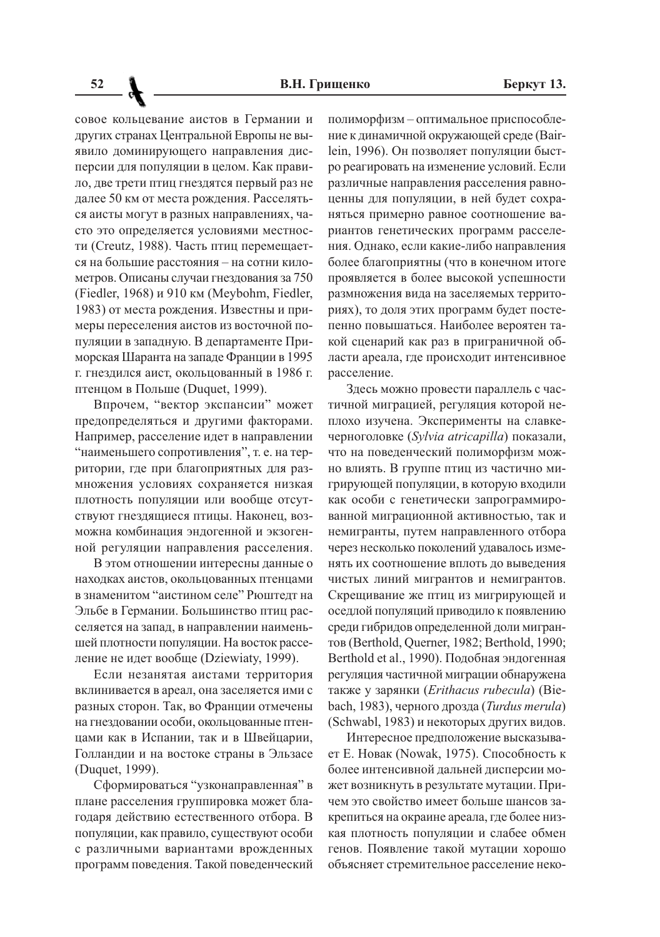совое кольцевание аистов в Германии и других странах Центральной Европы не выявило доминирующего направления дисперсии для популяции в целом. Как правило, две трети птиц гнездятся первый раз не далее 50 км от места рождения. Расселяться аисты могут в разных направлениях, часто это определяется условиями местности (Creutz, 1988). Часть птиц перемещается на большие расстояния - на сотни километров. Описаны случаи гнездования за 750 (Fiedler, 1968) и 910 км (Meybohm, Fiedler, 1983) от места рождения. Известны и примеры переселения аистов из восточной популяции в западную. В департаменте Приморская Шаранта на западе Франции в 1995 г. гнездился аист, окольцованный в 1986 г. птенцом в Польше (Duquet, 1999).

Впрочем, "вектор экспансии" может предопределяться и другими факторами. Например, расселение идет в направлении "наименьшего сопротивления", т. е. на территории, где при благоприятных для размножения условиях сохраняется низкая плотность популяции или вообще отсутствуют гнездящиеся птицы. Наконец, возможна комбинация эндогенной и экзогенной регуляции направления расселения.

В этом отношении интересны данные о находках аистов, окольцованных птенцами в знаменитом "аистином селе" Рюштедт на Эльбе в Германии. Большинство птиц расселяется на запад, в направлении наименьшей плотности популяции. На восток расселение не идет вообще (Dziewiaty, 1999).

Если незанятая аистами территория вклинивается в ареал, она заселяется ими с разных сторон. Так, во Франции отмечены на гнездовании особи, окольцованные птенцами как в Испании, так и в Швейцарии, Голландии и на востоке страны в Эльзасе (Duquet, 1999).

Сформироваться "узконаправленная" в плане расселения группировка может благодаря действию естественного отбора. В популяции, как правило, существуют особи с различными вариантами врожденных программ поведения. Такой поведенческий

полиморфизм - оптимальное приспособление к динамичной окружающей среде (Bairlein, 1996). Он позволяет популяции быстро реагировать на изменение условий. Если различные направления расселения равноценны для популяции, в ней будет сохраняться примерно равное соотношение вариантов генетических программ расселения. Однако, если какие-либо направления более благоприятны (что в конечном итоге проявляется в более высокой успешности размножения вида на заселяемых территориях), то доля этих программ будет постепенно повышаться. Наиболее вероятен такой сценарий как раз в приграничной области ареала, где происходит интенсивное расселение.

Здесь можно провести параллель с частичной миграцией, регуляция которой неплохо изучена. Эксперименты на славкечерноголовке (Sylvia atricapilla) показали, что на поведенческий полиморфизм можно влиять. В группе птиц из частично мигрирующей популяции, в которую входили как особи с генетически запрограммированной миграционной активностью, так и немигранты, путем направленного отбора через несколько поколений удавалось изменять их соотношение вплоть до выведения чистых линий мигрантов и немигрантов. Скрещивание же птиц из мигрирующей и оседлой популяций приводило к появлению среди гибридов определенной доли мигрантов (Berthold, Querner, 1982; Berthold, 1990; Berthold et al., 1990). Подобная эндогенная регуляция частичной миграции обнаружена также у зарянки (Erithacus rubecula) (Biebach, 1983), черного дрозда (Turdus merula) (Schwabl, 1983) и некоторых других видов.

Интересное предположение высказывает Е. Новак (Nowak, 1975). Способность к более интенсивной дальней дисперсии может возникнуть в результате мутации. Причем это свойство имеет больше шансов закрепиться на окраине ареала, где более низкая плотность популяции и слабее обмен генов. Появление такой мутации хорошо объясняет стремительное расселение неко-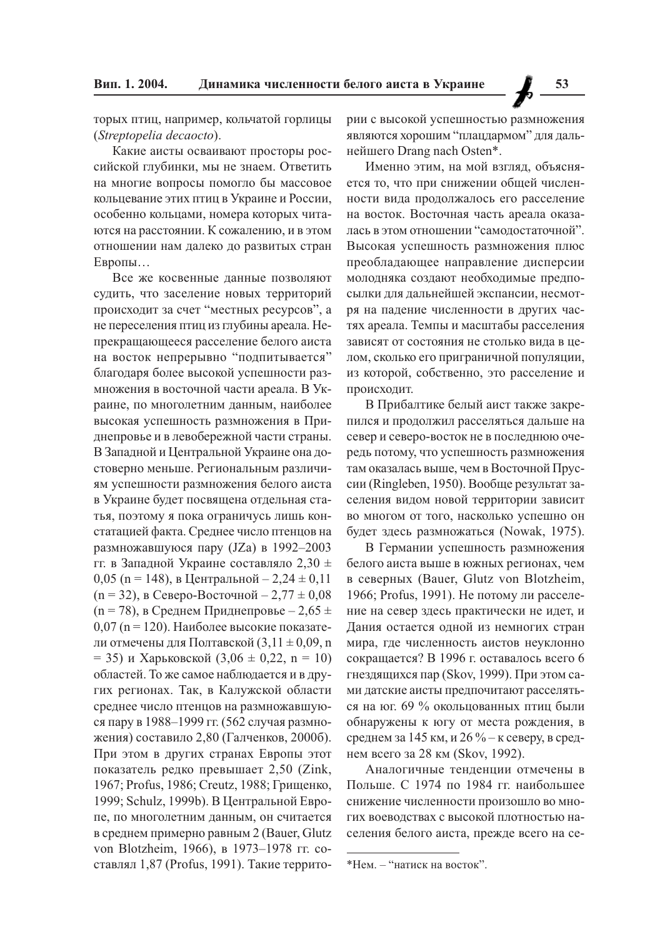53

торых птиц, например, кольчатой горлицы (Streptopelia decaocto).

Какие аисты осваивают просторы российской глубинки, мы не знаем. Ответить на многие вопросы помогло бы массовое кольцевание этих птиц в Украине и России, особенно кольцами, номера которых читаются на расстоянии. К сожалению, и в этом отношении нам далеко до развитых стран Европы...

Все же косвенные данные позволяют судить, что заселение новых территорий происходит за счет "местных ресурсов", а не переселения птиц из глубины ареала. Непрекращающееся расселение белого аиста на восток непрерывно "подпитывается" благодаря более высокой успешности размножения в восточной части ареала. В Украине, по многолетним данным, наиболее высокая успешность размножения в Приднепровье и в левобережной части страны. В Западной и Центральной Украине она достоверно меньше. Региональным различиям успешности размножения белого аиста в Украине будет посвящена отдельная статья, поэтому я пока ограничусь лишь констатацией факта. Среднее число птенцов на размножавшуюся пару (JZa) в 1992-2003 гг. в Западной Украине составляло 2,30 ± 0,05 (n = 148), в Центральной – 2,24  $\pm$  0,11  $(n = 32)$ , в Северо-Восточной – 2,77 ± 0,08  $(n = 78)$ , в Среднем Приднепровье – 2,65 ±  $0.07$  (n = 120). Наиболее высокие показатели отмечены для Полтавской  $(3,11 \pm 0,09, n)$ = 35) и Харьковской (3,06  $\pm$  0,22, n = 10) областей. То же самое наблюдается и в других регионах. Так, в Калужской области среднее число птенцов на размножавшуюся пару в 1988-1999 гг. (562 случая размножения) составило 2,80 (Галченков, 2000б). При этом в других странах Европы этот показатель редко превышает 2,50 (Zink, 1967; Profus, 1986; Creutz, 1988; Грищенко, 1999; Schulz, 1999b). В Центральной Европе, по многолетним данным, он считается в среднем примерно равным 2 (Bauer, Glutz von Blotzheim, 1966), в 1973-1978 гг. составлял 1,87 (Profus, 1991). Такие территории с высокой успешностью размножения являются хорошим "плацдармом" для дальнейшего Drang nach Osten\*.

Именно этим, на мой взгляд, объясняется то, что при снижении общей численности вида продолжалось его расселение на восток. Восточная часть ареала оказалась в этом отношении "самодостаточной". Высокая успешность размножения плюс преобладающее направление дисперсии молодняка создают необходимые предпосылки для дальнейшей экспансии, несмотря на падение численности в других частях ареала. Темпы и масштабы расселения зависят от состояния не столько вида в целом, сколько его приграничной популяции, из которой, собственно, это расселение и происходит.

В Прибалтике белый аист также закрепился и продолжил расселяться дальше на север и северо-восток не в последнюю очередь потому, что успешность размножения там оказалась выше, чем в Восточной Пруссии (Ringleben, 1950). Вообще результат заселения видом новой территории зависит во многом от того, насколько успешно он будет здесь размножаться (Nowak, 1975).

В Германии успешность размножения белого аиста выше в южных регионах, чем в северных (Bauer, Glutz von Blotzheim, 1966; Profus, 1991). Не потому ли расселение на север здесь практически не идет, и Дания остается одной из немногих стран мира, где численность аистов неуклонно сокращается? В 1996 г. оставалось всего 6 гнездящихся пар (Skov, 1999). При этом сами датские аисты предпочитают расселяться на юг. 69 % окольцованных птиц были обнаружены к югу от места рождения, в среднем за 145 км, и 26 % – к северу, в среднем всего за 28 км (Skov, 1992).

Аналогичные тенленции отмечены в Польше. С 1974 по 1984 гг. наибольшее снижение численности произошло во многих воеводствах с высокой плотностью населения белого аиста, прежде всего на се-

<sup>\*</sup>Нем. - "натиск на восток".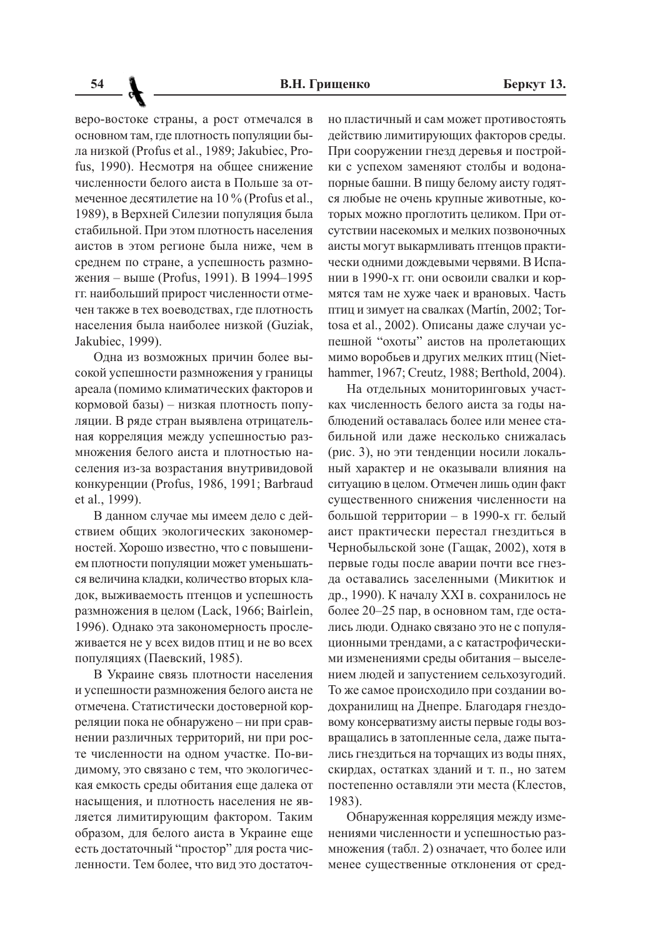веро-востоке страны, а рост отмечался в основном там, где плотность популяции была низкой (Profus et al., 1989; Jakubiec, Profus, 1990). Несмотря на общее снижение численности белого аиста в Польше за отмеченное десятилетие на 10 % (Profus et al., 1989), в Верхней Силезии популяция была стабильной. При этом плотность населения аистов в этом регионе была ниже, чем в среднем по стране, а успешность размножения - выше (Profus, 1991). В 1994-1995 гг. наибольший прирост численности отмечен также в тех воеводствах, где плотность населения была наиболее низкой (Guziak, Jakubiec, 1999).

Одна из возможных причин более высокой успешности размножения у границы ареала (помимо климатических факторов и кормовой базы) - низкая плотность популяции. В ряде стран выявлена отрицательная корреляция между успешностью размножения белого аиста и плотностью населения из-за возрастания внутривидовой конкуренции (Profus, 1986, 1991; Barbraud et al., 1999).

В данном случае мы имеем дело с действием общих экологических закономерностей. Хорошо известно, что с повышением плотности популяции может уменьшаться величина кладки, количество вторых кладок, выживаемость птенцов и успешность размножения в целом (Lack, 1966; Bairlein, 1996). Однако эта закономерность прослеживается не у всех видов птиц и не во всех популяциях (Паевский, 1985).

В Украине связь плотности населения и успешности размножения белого аиста не отмечена. Статистически достоверной корреляции пока не обнаружено - ни при сравнении различных территорий, ни при росте численности на одном участке. По-видимому, это связано с тем, что экологическая емкость среды обитания еще далека от насыщения, и плотность населения не является лимитирующим фактором. Таким образом, для белого аиста в Украине еще есть достаточный "простор" для роста численности. Тем более, что вид это достаточно пластичный и сам может противостоять действию лимитирующих факторов среды. При сооружении гнезд деревья и постройки с успехом заменяют столбы и водонапорные башни. В пищу белому аисту годятся любые не очень крупные животные, которых можно проглотить целиком. При отсутствии насекомых и мелких позвоночных аисты могут выкармливать птенцов практически одними дождевыми червями. В Испании в 1990-х гг. они освоили свалки и кормятся там не хуже чаек и врановых. Часть птиц и зимует на свалках (Martín, 2002; Tortosa et al., 2002). Описаны даже случаи успешной "охоты" аистов на пролетающих мимо воробьев и других мелких птиц (Niethammer, 1967; Creutz, 1988; Berthold, 2004).

На отдельных мониторинговых участках численность белого аиста за голы наблюдений оставалась более или менее стабильной или даже несколько снижалась (рис. 3), но эти тенденции носили локальный характер и не оказывали влияния на ситуацию в целом. Отмечен лишь один факт существенного снижения численности на большой территории - в 1990-х гг. белый аист практически перестал гнездиться в Чернобыльской зоне (Гащак, 2002), хотя в первые годы после аварии почти все гнезда оставались заселенными (Микитюк и др., 1990). К началу XXI в. сохранилось не более 20-25 пар, в основном там, где остались люди. Однако связано это не с популяционными трендами, а с катастрофическими изменениями среды обитания - выселением людей и запустением сельхозугодий. То же самое происходило при создании водохранилищ на Днепре. Благодаря гнездовому консерватизму аисты первые годы возвращались в затопленные села, даже пытались гнездиться на торчащих из воды пнях, скирдах, остатках зданий и т. п., но затем постепенно оставляли эти места (Клестов, 1983).

Обнаруженная корреляция между изменениями численности и успешностью размножения (табл. 2) означает, что более или менее существенные отклонения от сред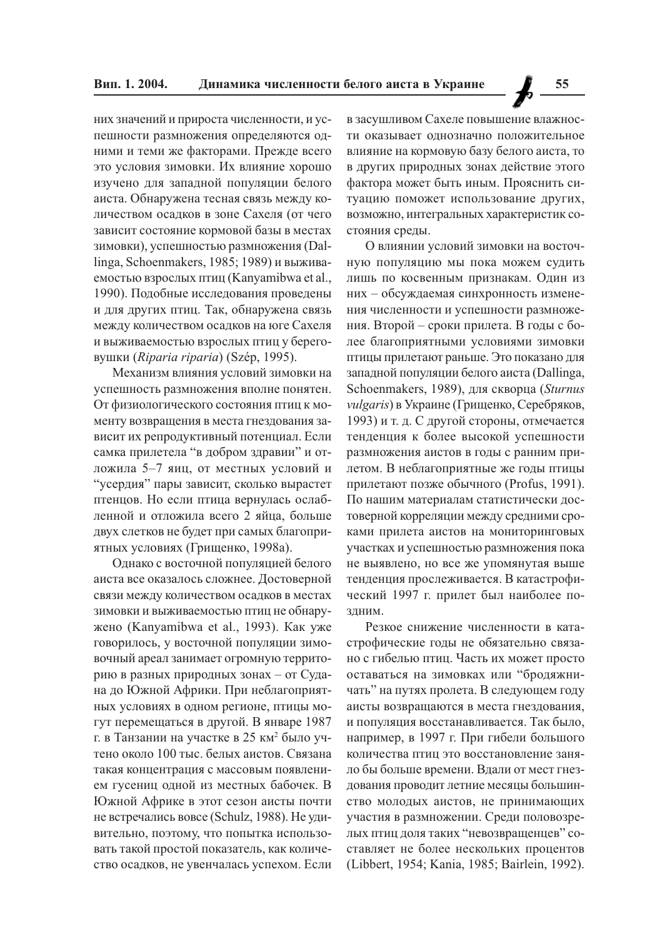них значений и прироста численности, и успешности размножения определяются одними и теми же факторами. Прежде всего это условия зимовки. Их влияние хорошо изучено для западной популяции белого аиста. Обнаружена тесная связь между количеством осадков в зоне Сахеля (от чего зависит состояние кормовой базы в местах зимовки), успешностью размножения (Dallinga, Schoenmakers, 1985; 1989) и выживаемостью взрослых птиц (Kanyamibwa et al., 1990). Подобные исследования проведены и для других птиц. Так, обнаружена связь между количеством осадков на юге Сахеля и выживаемостью взрослых птиц у береговушки (Riparia riparia) (Szép, 1995).

Механизм влияния условий зимовки на успешность размножения вполне понятен. От физиологического состояния птиц к моменту возвращения в места гнездования зависит их репродуктивный потенциал. Если самка прилетела "в добром здравии" и отложила 5-7 яиц, от местных условий и "усердия" пары зависит, сколько вырастет птенцов. Но если птица вернулась ослабленной и отложила всего 2 яйца, больше двух слетков не будет при самых благоприятных условиях (Грищенко, 1998а).

Однако с восточной популяцией белого аиста все оказалось сложнее. Достоверной связи между количеством осадков в местах зимовки и выживаемостью птиц не обнаружено (Kanyamibwa et al., 1993). Как уже говорилось, у восточной популяции зимовочный ареал занимает огромную территорию в разных природных зонах - от Судана до Южной Африки. При неблагоприятных условиях в одном регионе, птицы могут перемещаться в другой. В январе 1987 г. в Танзании на участке в 25 км<sup>2</sup> было учтено около 100 тыс. белых аистов. Связана такая концентрация с массовым появлением гусениц одной из местных бабочек. В Южной Африке в этот сезон аисты почти не встречались вовсе (Schulz, 1988). Не удивительно, поэтому, что попытка использовать такой простой показатель, как количество осадков, не увенчалась успехом. Если

в засушливом Сахеле повышение влажности оказывает однозначно положительное влияние на кормовую базу белого аиста, то в других природных зонах действие этого фактора может быть иным. Прояснить ситуацию поможет использование других, возможно, интегральных характеристик состояния среды.

О влиянии условий зимовки на восточную популяцию мы пока можем судить лишь по косвенным признакам. Один из них - обсуждаемая синхронность изменения численности и успешности размножения. Второй – сроки прилета. В годы с более благоприятными условиями зимовки птицы прилетают раньше. Это показано для западной популяции белого аиста (Dallinga, Schoenmakers, 1989), для скворца (Sturnus vulgaris) в Украине (Грищенко, Серебряков, 1993) и т. д. С другой стороны, отмечается тенденция к более высокой успешности размножения аистов в годы с ранним прилетом. В неблагоприятные же годы птицы прилетают позже обычного (Profus, 1991). По нашим материалам статистически достоверной корреляции между средними сроками прилета аистов на мониторинговых участках и успешностью размножения пока не выявлено, но все же упомянутая выше тенденция прослеживается. В катастрофический 1997 г. прилет был наиболее по-ЗЛНИМ.

Резкое снижение численности в катастрофические годы не обязательно связано с гибелью птиц. Часть их может просто оставаться на зимовках или "бродяжничать" на путях пролета. В следующем году аисты возвращаются в места гнездования, и популяция восстанавливается. Так было, например, в 1997 г. При гибели большого количества птиц это восстановление заняло бы больше времени. Вдали от мест гнездования проводит летние месяцы большинство молодых аистов, не принимающих участия в размножении. Среди половозрелых птиц доля таких "невозвращенцев" составляет не более нескольких процентов (Libbert, 1954; Kania, 1985; Bairlein, 1992).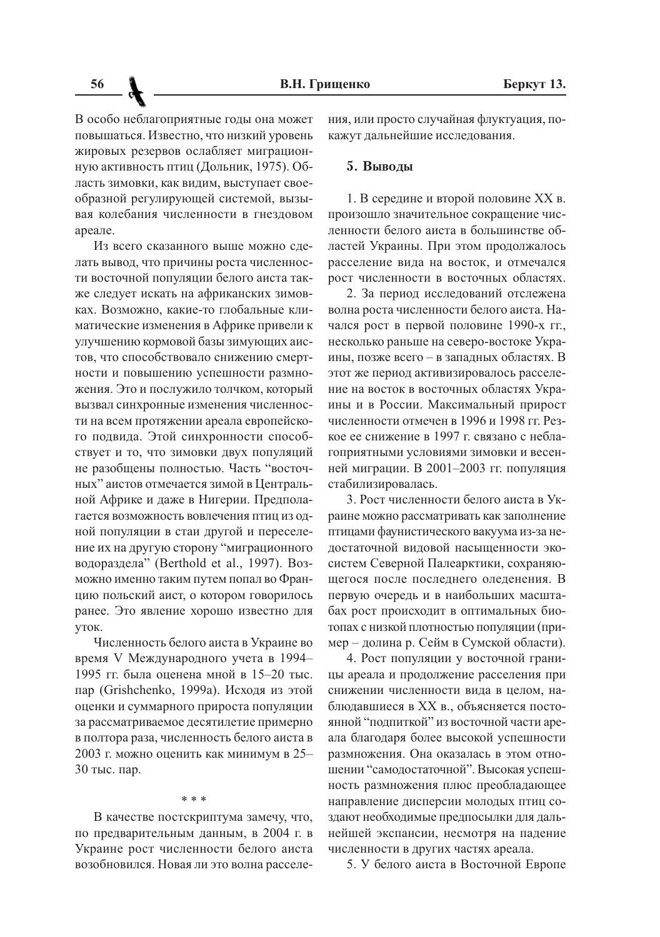В особо неблагоприятные годы она может повышаться. Известно, что низкий уровень жировых резервов ослабляет миграционную активность птиц (Дольник, 1975). Область зимовки, как видим, выступает своеобразной регулирующей системой, вызывая колебания численности в гнездовом ареале.

Из всего сказанного выше можно слелать вывод, что причины роста численности восточной популяции белого аиста также следует искать на африканских зимовках. Возможно, какие-то глобальные климатические изменения в Африке привели к улучшению кормовой базы зимующих аистов, что способствовало снижению смертности и повышению успешности размножения. Это и послужило толчком, который вызвал синхронные изменения численности на всем протяжении ареала европейского подвида. Этой синхронности способствует и то, что зимовки двух популяций не разобшены полностью. Часть "восточных" аистов отмечается зимой в Центральной Африке и даже в Нигерии. Предполагается возможность вовлечения птиц из одной популяции в стаи другой и переселение их на другую сторону "миграционного водораздела" (Berthold et al., 1997). Возможно именно таким путем попал во Францию польский аист, о котором говорилось ранее. Это явление хорошо известно для VTOK.

Численность белого аиста в Украине во время V Международного учета в 1994-1995 гг. была оценена мной в 15-20 тыс. пар (Grishchenko, 1999а). Исходя из этой оценки и суммарного прироста популяции за рассматриваемое десятилетие примерно в полтора раза, численность белого аиста в 2003 г. можно оценить как минимум в 25-30 тыс. пар.

#### $* * *$

В качестве постскриптума замечу, что, по предварительным данным, в 2004 г. в Украине рост численности белого аиста возобновился. Новая ли это волна расселения, или просто случайная флуктуация, покажут дальнейшие исследования.

## 5. Выводы

1. В середине и второй половине XX в. произошло значительное сокращение численности белого аиста в большинстве областей Украины. При этом продолжалось расселение вида на восток, и отмечался рост численности в восточных областях.

2. За период исследований отслежена волна роста численности белого аиста. Начался рост в первой половине 1990-х гг., несколько раньше на северо-востоке Украины, позже всего - в западных областях. В этот же период активизировалось расселение на восток в восточных областях Украины и в России. Максимальный прирост численности отмечен в 1996 и 1998 гг. Резкое ее снижение в 1997 г. связано с неблагоприятными условиями зимовки и весенней миграции. В 2001-2003 гг. популяция стабилизировалась.

3. Рост численности белого аиста в Украине можно рассматривать как заполнение птицами фаунистического вакуума из-за недостаточной видовой насыщенности экосистем Северной Палеарктики, сохраняющегося после последнего оледенения. В первую очередь и в наибольших масштабах рост происходит в оптимальных биотопах с низкой плотностью популяции (пример - долина р. Сейм в Сумской области).

4. Рост популяции у восточной границы ареала и продолжение расселения при снижении численности вила в целом, наблюдавшиеся в XX в., объясняется постоянной "подпиткой" из восточной части ареала благодаря более высокой успешности размножения. Она оказалась в этом отношении "самодостаточной". Высокая успешность размножения плюс преобладающее направление дисперсии молодых птиц создают необходимые предпосылки для дальнейшей экспансии, несмотря на падение численности в других частях ареала.

5. У белого аиста в Восточной Европе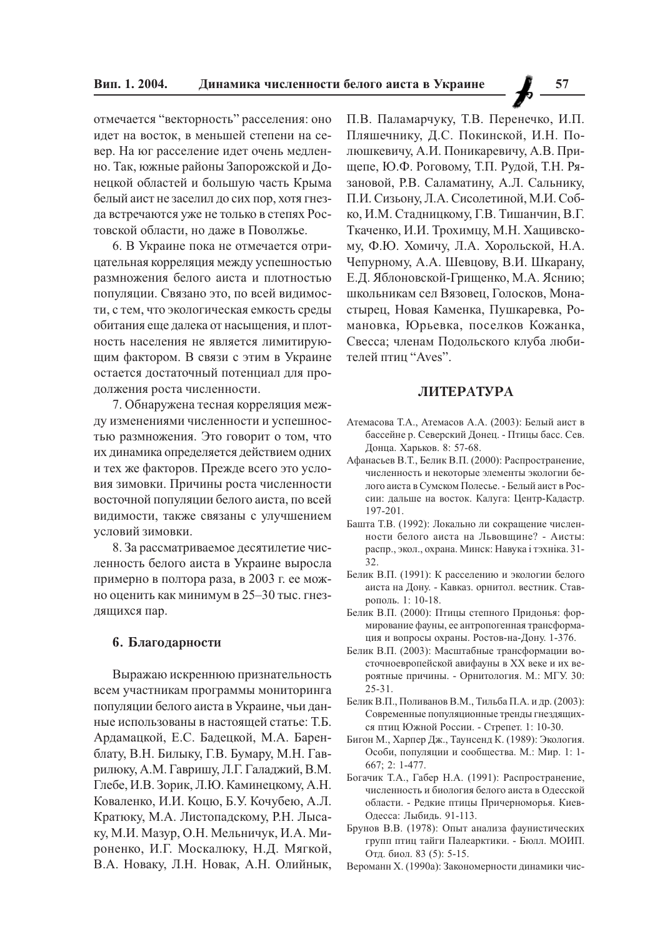отмечается "векторность" расселения: оно идет на восток, в меньшей степени на север. На юг расселение идет очень медленно. Так, южные районы Запорожской и Донецкой областей и большую часть Крыма белый аист не заселил до сих пор, хотя гнезда встречаются уже не только в степях Ростовской области, но даже в Поволжье.

6. В Украине пока не отмечается отрицательная корреляция между успешностью размножения белого аиста и плотностью популяции. Связано это, по всей видимости, с тем, что экологическая емкость среды обитания еще далека от насыщения, и плотность населения не является лимитирующим фактором. В связи с этим в Украине остается достаточный потенциал для продолжения роста численности.

7. Обнаружена тесная корреляция между изменениями численности и успешностью размножения. Это говорит о том, что их динамика определяется действием одних и тех же факторов. Прежде всего это условия зимовки. Причины роста численности восточной популяции белого аиста, по всей видимости, также связаны с улучшением условий зимовки.

8. За рассматриваемое десятилетие численность белого аиста в Украине выросла примерно в полтора раза, в 2003 г. ее можно оценить как минимум в 25-30 тыс. гнездящихся пар.

#### 6. Благодарности

Выражаю искреннюю признательность всем участникам программы мониторинга популяции белого аиста в Украине, чьи данные использованы в настоящей статье: Т.Б. Ардамацкой, Е.С. Бадецкой, М.А. Баренблату, В.Н. Билыку, Г.В. Бумару, М.Н. Гаврилюку, А.М. Гавришу, Л.Г. Галаджий, В.М. Глебе, И.В. Зорик, Л.Ю. Каминецкому, А.Н. Коваленко, И.И. Коцю, Б.У. Кочубею, А.Л. Кратюку, М.А. Листопадскому, Р.Н. Лысаку, М.И. Мазур, О.Н. Мельничук, И.А. Мироненко, И.Г. Москалюку, Н.Д. Мягкой, В.А. Новаку, Л.Н. Новак, А.Н. Олийнык,

П.В. Паламарчуку, Т.В. Перенечко, И.П. Пляшечнику, Д.С. Покинской, И.Н. Полюшкевичу, А.И. Поникаревичу, А.В. Прищепе, Ю.Ф. Роговому, Т.П. Рудой, Т.Н. Рязановой, Р.В. Саламатину, А.Л. Сальнику, П.И. Сизьону, Л.А. Сисолетиной, М.И. Собко, И.М. Стадницкому, Г.В. Тишанчин, В.Г. Ткаченко, И.И. Трохимцу, М.Н. Хащивскому, Ф.Ю. Хомичу, Л.А. Хорольской, Н.А. Чепурному, А.А. Шевцову, В.И. Шкарану, Е.Д. Яблоновской-Грищенко, М.А. Яснию; школьникам сел Вязовец, Голосков, Монастырец, Новая Каменка, Пушкаревка, Романовка, Юрьевка, поселков Кожанка, Свесса; членам Подольского клуба любителей птиц "Aves".

## **ЛИТЕРАТУРА**

- Атемасова Т.А., Атемасов А.А. (2003): Белый аист в бассейне р. Северский Донец. - Птицы басс. Сев. Донца. Харьков. 8: 57-68.
- Афанасьев В.Т., Белик В.П. (2000): Распространение, численность и некоторые элементы экологии белого аиста в Сумском Полесье. - Белый аист в России: дальше на восток. Калуга: Центр-Кадастр. 197-201.
- Башта Т.В. (1992): Локально ли сокращение численности белого аиста на Львовщине? - Аисты: распр., экол., охрана. Минск: Навука і тэхніка. 31-32
- Белик В.П. (1991): К расселению и экологии белого аиста на Дону. - Кавказ. орнитол. вестник. Ставрополь. 1: 10-18.
- Белик В.П. (2000): Птицы степного Придонья: формирование фауны, ее антропогенная трансформация и вопросы охраны. Ростов-на-Дону. 1-376.
- Белик В.П. (2003): Масштабные трансформации восточноевропейской авифауны в XX веке и их вероятные причины. - Орнитология. М.: МГУ. 30:  $25 - 31$ .
- Белик В.П., Поливанов В.М., Тильба П.А. и др. (2003): Современные популяционные тренды гнездящихся птиц Южной России. - Стрепет. 1: 10-30.
- Бигон М., Харпер Дж., Таунсенд К. (1989): Экология. Особи, популяции и сообщества. М.: Мир. 1: 1-667; 2: 1-477.
- Богачик Т.А., Габер Н.А. (1991): Распространение, численность и биология белого аиста в Одесской области. - Редкие птицы Причерноморья. Киев-Одесса: Лыбидь. 91-113.
- Брунов В.В. (1978): Опыт анализа фаунистических групп птиц тайги Палеарктики. - Бюлл. МОИП. Отд. биол. 83 (5): 5-15.

Вероманн Х. (1990а): Закономерности динамики чис-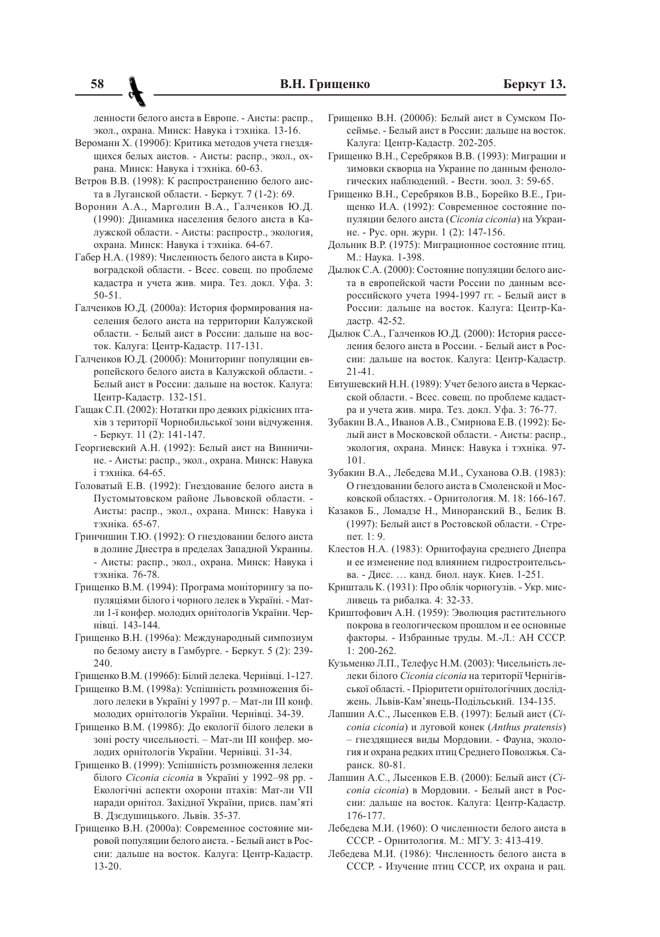ленности белого аиста в Европе. - Аисты: распр... экол., охрана. Минск: Навука і тэхніка. 13-16.

- Вероманн Х. (1990б): Критика методов учета гнездящихся белых аистов. - Аисты: распр., экол., охрана. Минск: Навука і тэхніка. 60-63.
- Ветров В.В. (1998): К распространению белого аиста в Луганской области. - Беркут. 7 (1-2): 69.
- Воронин А.А., Марголин В.А., Галченков Ю.Д. (1990): Динамика населения белого аиста в Калужской области. - Аисты: распростр., экология, охрана. Минск: Навука і тэхніка. 64-67.
- Габер Н.А. (1989): Численность белого аиста в Кировоградской области. - Всес. совещ. по проблеме кадастра и учета жив. мира. Тез. докл. Уфа. 3:  $50 - 51$
- Галченков Ю.Д. (2000а): История формирования населения белого аиста на территории Калужской области. - Белый аист в России: дальше на восток. Калуга: Центр-Кадастр. 117-131.
- Галченков Ю.Д. (2000б): Мониторинг популяции европейского белого аиста в Калужской области. -Белый аист в России: дальше на восток. Калуга: Центр-Кадастр. 132-151.
- Гащак С.П. (2002): Нотатки про деяких рідкісних птахів з території Чорнобильської зони відчуження. - Беркут. 11 (2): 141-147.
- Георгиевский А.Н. (1992): Белый аист на Винничине. - Аисты: распр., экол., охрана. Минск: Навука і тэхніка. 64-65.
- Головатый Е.В. (1992): Гнездование белого аиста в Пустомытовском районе Львовской области. -Аисты: распр., экол., охрана. Минск: Навука і тэхніка. 65-67.
- Гринчишин Т.Ю. (1992): О гнездовании белого аиста в долине Днестра в пределах Западной Украины. - Аисты: распр., экол., охрана. Минск: Навука і тэхніка. 76-78.
- Грищенко В.М. (1994): Програма моніторингу за популяціями білого і чорного лелек в Україні. - Матли 1-ї конфер. молодих орнітологів України. Чернівці. 143-144.
- Грищенко В.Н. (1996а): Международный симпозиум по белому аисту в Гамбурге. - Беркут. 5 (2): 239-240
- Грищенко В.М. (1996б): Білий лелека. Чернівці. 1-127.
- Грищенко В.М. (1998а): Успішність розмноження білого лелеки в Україні у 1997 р. - Мат-ли III конф. молодих орнітологів України. Чернівці. 34-39.
- Грищенко В.М. (1998б): До екології білого лелеки в зоні росту чисельності. - Мат-ли III конфер. молодих орнітологів України. Чернівці. 31-34.
- Грищенко В. (1999): Успішність розмноження лелеки білого Сісопіа сісопіа в Україні у 1992-98 рр. -Екологічні аспекти охорони птахів: Мат-ли VII наради орнітол. Західної України, присв. пам'яті В. Дзедушицького. Львів. 35-37.
- Грищенко В.Н. (2000а): Современное состояние мировой популяции белого аиста. - Белый аист в России: дальше на восток. Калуга: Центр-Кадастр.  $13 - 20.$
- Гришенко В.Н. (2000б): Белый аист в Сумском Посеймье. - Белый аист в России: дальше на восток. Калуга: Центр-Кадастр. 202-205.
- Грищенко В.Н., Серебряков В.В. (1993): Миграции и зимовки скворца на Украине по данным фенологических наблюдений. - Вестн. зоол. 3: 59-65.
- Грищенко В.Н., Серебряков В.В., Борейко В.Е., Грищенко И.А. (1992): Современное состояние популяции белого аиста (Ciconia ciconia) на Украине. - Рус. орн. журн. 1 (2): 147-156.
- Дольник В.Р. (1975): Миграционное состояние птиц. М.: Наука. 1-398.
- Дылюк С.А. (2000): Состояние популяции белого аиста в европейской части России по данным всероссийского учета 1994-1997 гг. - Белый аист в России: дальше на восток. Калуга: Центр-Кадастр. 42-52.
- Дылюк С.А., Галченков Ю.Д. (2000): История расселения белого аиста в России. - Белый аист в России: дальше на восток. Калуга: Центр-Кадастр.  $21 - 41$
- Евтушевский Н.Н. (1989): Учет белого аиста в Черкасской области. - Всес. совещ. по проблеме кадастра и учета жив. мира. Тез. докл. Уфа. 3: 76-77.
- Зубакин В.А., Иванов А.В., Смирнова Е.В. (1992): Белый аист в Московской области. - Аисты: распр., экология, охрана. Минск: Навука і тэхніка. 97-101
- Зубакин В.А., Лебедева М.И., Суханова О.В. (1983): О гнездовании белого аиста в Смоленской и Московской областях. - Орнитология. М. 18: 166-167.
- Казаков Б., Ломадзе Н., Миноранский В., Белик В. (1997): Белый аист в Ростовской области. - Стрепет. 1: 9.
- Клестов Н.А. (1983): Орнитофауна среднего Днепра и ее изменение под влиянием гидростроительсьва. - Лисс. ... канд. биол. наук. Киев. 1-251.
- Кришталь К. (1931): Про облік чорногузів. Укр. мисливець та рибалка. 4: 32-33.
- Криштофович А.Н. (1959): Эволюция растительного покрова в геологическом прошлом и ее основные факторы. - Избранные труды. М.-Л.: АН СССР.  $1: 200 - 262.$
- Кузьменко Л.П., Телефус Н.М. (2003): Чисельність лелеки білого Сісопіа сісопіа на території Чернігівської області. - Пріоритети орнітологічних досліджень. Львів-Кам'янець-Подільський. 134-135.
- Лапшин А.С., Лысенков Е.В. (1997): Белый аист (Сіconia ciconia) и луговой конек (Anthus pratensis) - гнездящиеся виды Мордовии. - Фауна, экология и охрана редких птиц Среднего Поволжья. Саранск. 80-81.
- Лапшин А.С., Лысенков Е.В. (2000): Белый аист (Сісопіа сісопіа) в Мордовии. - Белый аист в России: дальше на восток. Калуга: Центр-Кадастр. 176-177.
- Лебедева М.И. (1960): О численности белого аиста в СССР. - Орнитология. М.: МГУ. 3: 413-419.
- Лебедева М.И. (1986): Численность белого аиста в СССР. - Изучение птиц СССР, их охрана и рац.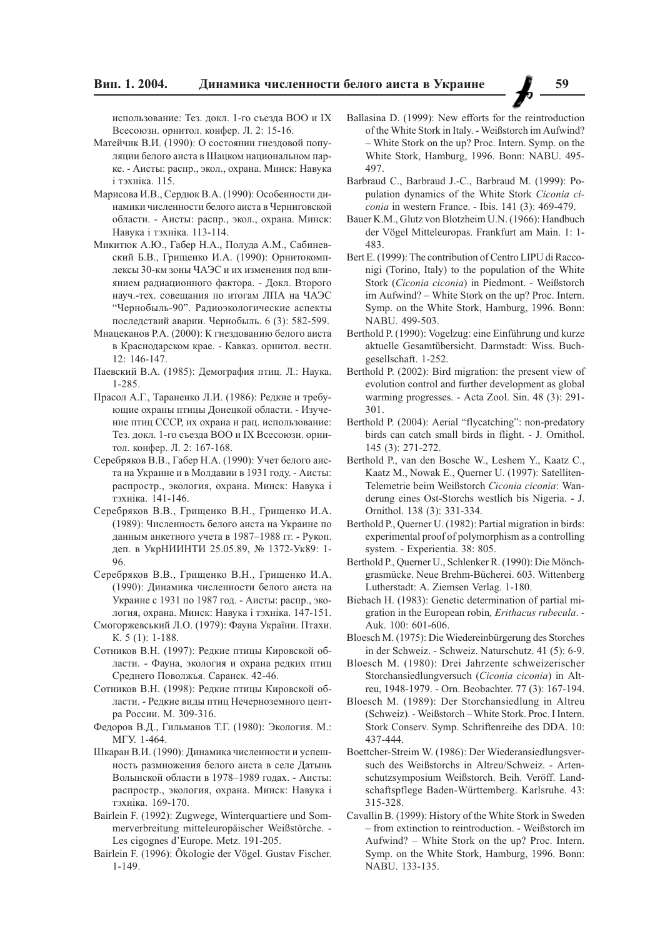использование: Тез. докл. 1-го съезда ВОО и IX Всесоюзн. орнитол. конфер. Л. 2: 15-16.

- Матейчик В.И. (1990): О состоянии гнездовой популяции белого аиста в Шацком национальном парке. - Аисты: распр., экол., охрана. Минск: Навука і тэхніка. 115.
- Марисова И.В., Сердюк В.А. (1990): Особенности динамики численности белого аиста в Черниговской области. - Аисты: распр., экол., охрана. Минск: Навука і тэхніка. 113-114.
- Микитюк А.Ю., Габер Н.А., Полуда А.М., Сабиневский Б.В., Грищенко И.А. (1990): Орнитокомплексы 30-км зоны ЧАЭС и их изменения под влиянием радиационного фактора. - Докл. Второго науч.-тех. совещания по итогам ЛПА на ЧАЭС "Чернобыль-90". Радиоэкологические аспекты последствий аварии. Чернобыль. 6 (3): 582-599.
- Мнацеканов Р.А. (2000): К гнездованию белого аиста в Краснодарском крае. - Кавказ. орнитол. вестн. 12: 146-147.
- Паевский В.А. (1985): Демография птиц. Л.: Наука.  $1 - 285$
- Прасол А.Г., Тараненко Л.И. (1986): Редкие и требующие охраны птицы Донецкой области. - Изучение птиц СССР, их охрана и рац. использование: Тез. докл. 1-го съезда ВОО и IX Всесоюзн. орнитол. конфер. Л. 2: 167-168.
- Серебряков В.В., Габер Н.А. (1990): Учет белого аиста на Украине и в Молдавии в 1931 году. - Аисты: распростр., экология, охрана. Минск: Навука і тэхніка. 141-146.
- Серебряков В.В., Грищенко В.Н., Грищенко И.А. (1989): Численность белого аиста на Украине по данным анкетного учета в 1987-1988 гг. - Рукоп. деп. в УкрНИИНТИ 25.05.89, № 1372-Ук89: 1-96
- Серебряков В.В., Грищенко В.Н., Грищенко И.А. (1990): Динамика численности белого аиста на Украине с 1931 по 1987 год. - Аисты: распр., экология, охрана. Минск: Навука і тэхніка. 147-151.
- Смогоржевський Л.О. (1979): Фауна України. Птахи.  $K. 5(1): 1-188.$
- Сотников В.Н. (1997): Редкие птицы Кировской области. - Фауна, экология и охрана редких птиц Среднего Поволжья. Саранск. 42-46.
- Сотников В.Н. (1998): Редкие птицы Кировской области. - Редкие виды птиц Нечерноземного центра России. М. 309-316.
- Федоров В.Д., Гильманов Т.Г. (1980): Экология. М.: МГУ. 1-464.
- Шкаран В.И. (1990): Динамика численности и успешность размножения белого аиста в селе Датынь Волынской области в 1978-1989 годах. - Аисты: распростр., экология, охрана. Минск: Навука і тэхніка. 169-170.
- Bairlein F. (1992): Zugwege, Winterquartiere und Sommerverbreitung mitteleuropäischer Weißstörche. -Les cigognes d'Europe. Metz. 191-205.
- Bairlein F. (1996): Ökologie der Vögel. Gustav Fischer.  $1 - 149$ .
- Ballasina D. (1999): New efforts for the reintroduction of the White Stork in Italy. - Weißstorch im Aufwind? - White Stork on the up? Proc. Intern. Symp. on the White Stork, Hamburg, 1996. Bonn: NABU. 495-497
- Barbraud C., Barbraud J.-C., Barbraud M. (1999): Population dynamics of the White Stork Ciconia ciconia in western France. - Ibis. 141 (3): 469-479.
- Bauer K.M., Glutz von Blotzheim U.N. (1966): Handbuch der Vögel Mitteleuropas. Frankfurt am Main. 1: 1-483
- Bert E. (1999): The contribution of Centro LIPU di Racconigi (Torino, Italy) to the population of the White Stork (Ciconia ciconia) in Piedmont. - Weißstorch im Aufwind? – White Stork on the up? Proc. Intern. Symp. on the White Stork, Hamburg, 1996. Bonn: NABU. 499-503.
- Berthold P. (1990): Vogelzug: eine Einführung und kurze aktuelle Gesamtübersicht. Darmstadt: Wiss. Buchgesellschaft. 1-252.
- Berthold P. (2002): Bird migration: the present view of evolution control and further development as global warming progresses. - Acta Zool. Sin. 48 (3): 291-301.
- Berthold P. (2004): Aerial "flycatching": non-predatory birds can catch small birds in flight. - J. Ornithol. 145 (3): 271-272.
- Berthold P., van den Bosche W., Leshem Y., Kaatz C., Kaatz M., Nowak E., Querner U. (1997): Satelliten-Telemetrie beim Weißstorch Ciconia ciconia: Wanderung eines Ost-Storchs westlich bis Nigeria. - J. Ornithol. 138 (3): 331-334.
- Berthold P., Querner U. (1982): Partial migration in birds: experimental proof of polymorphism as a controlling system. - Experientia. 38: 805.
- Berthold P., Querner U., Schlenker R. (1990): Die Mönchgrasmücke. Neue Brehm-Bücherei, 603. Wittenberg Lutherstadt: A. Ziemsen Verlag. 1-180.
- Biebach H. (1983): Genetic determination of partial migration in the European robin, Erithacus rubecula. -Auk. 100: 601-606.
- Bloesch M. (1975): Die Wiedereinbürgerung des Storches in der Schweiz. - Schweiz. Naturschutz. 41 (5): 6-9.
- Bloesch M. (1980): Drei Jahrzente schweizerischer Storchansiedlungversuch (Ciconia ciconia) in Altreu, 1948-1979. - Orn. Beobachter. 77 (3): 167-194.
- Bloesch M. (1989): Der Storchansiedlung in Altreu (Schweiz). - Weißstorch - White Stork. Proc. I Intern. Stork Conserv. Symp. Schriftenreihe des DDA. 10: 437-444.
- Boettcher-Streim W. (1986): Der Wiederansiedlungsversuch des Weißstorchs in Altreu/Schweiz. - Artenschutzsymposium Weißstorch. Beih. Veröff. Landschaftspflege Baden-Württemberg. Karlsruhe. 43: 315-328.
- Cavallin B. (1999): History of the White Stork in Sweden - from extinction to reintroduction. - Weißstorch im Aufwind? - White Stork on the up? Proc. Intern. Symp. on the White Stork, Hamburg, 1996. Bonn: NABU. 133-135.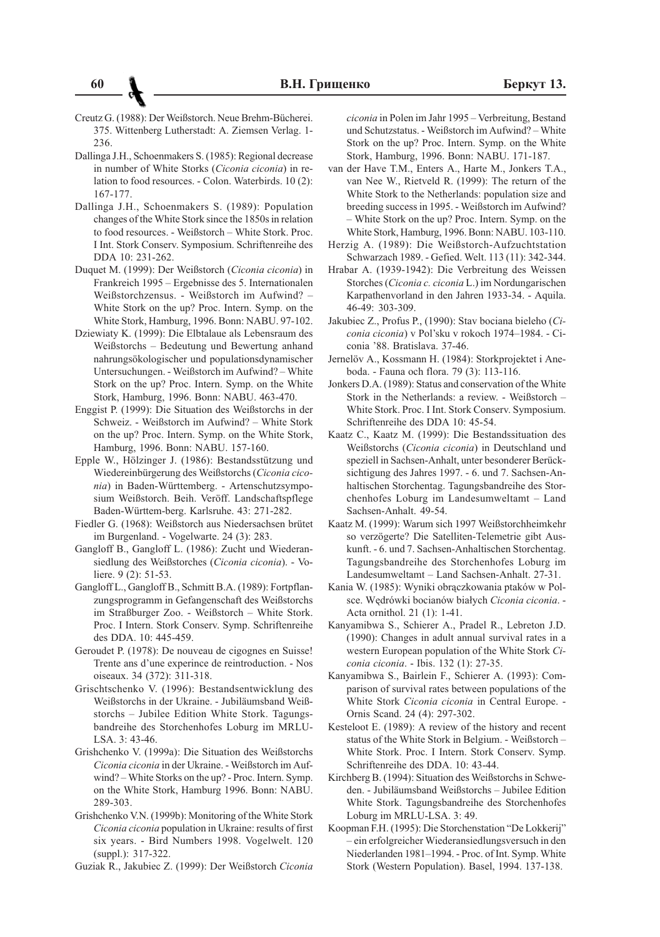- Creutz G. (1988): Der Weißstorch. Neue Brehm-Bücherei. 375. Wittenberg Lutherstadt: A. Ziemsen Verlag. 1-236.
- Dallinga J.H., Schoenmakers S. (1985): Regional decrease in number of White Storks (Ciconia ciconia) in relation to food resources. - Colon. Waterbirds. 10(2): 167-177.
- Dallinga J.H., Schoenmakers S. (1989): Population changes of the White Stork since the 1850s in relation to food resources. - Weißstorch - White Stork. Proc. I Int. Stork Conserv. Symposium. Schriftenreihe des DDA 10: 231-262.
- Duquet M. (1999): Der Weißstorch (Ciconia ciconia) in Frankreich 1995 – Ergebnisse des 5. Internationalen Weißstorchzensus. - Weißstorch im Aufwind? -White Stork on the up? Proc. Intern. Symp. on the White Stork, Hamburg, 1996. Bonn: NABU, 97-102.
- Dziewiaty K. (1999): Die Elbtalaue als Lebensraum des Weißstorchs - Bedeutung und Bewertung anhand nahrungsökologischer und populationsdynamischer Untersuchungen. - Weißstorch im Aufwind? – White Stork on the up? Proc. Intern. Symp. on the White Stork, Hamburg, 1996. Bonn: NABU. 463-470.
- Enggist P. (1999): Die Situation des Weißstorchs in der Schweiz. - Weißstorch im Aufwind? - White Stork on the up? Proc. Intern. Symp. on the White Stork, Hamburg, 1996. Bonn: NABU. 157-160.
- Epple W., Hölzinger J. (1986): Bestandsstützung und Wiedereinbürgerung des Weißstorchs (Ciconia ciconia) in Baden-Württemberg. - Artenschutzsymposium Weißstorch. Beih. Veröff. Landschaftspflege Baden-Württem-berg. Karlsruhe. 43: 271-282.
- Fiedler G. (1968): Weißstorch aus Niedersachsen brütet im Burgenland. - Vogelwarte. 24 (3): 283.
- Gangloff B., Gangloff L. (1986): Zucht und Wiederansiedlung des Weißstorches (Ciconia ciconia). - Voliere.  $9(2)$ : 51-53.
- Gangloff L., Gangloff B., Schmitt B.A. (1989): Fortpflanzungsprogramm in Gefangenschaft des Weißstorchs im Straßburger Zoo. - Weißstorch - White Stork. Proc. I Intern. Stork Conserv. Symp. Schriftenreihe des DDA, 10: 445-459.
- Geroudet P. (1978): De nouveau de cigognes en Suisse! Trente ans d'une experince de reintroduction. - Nos oiseaux. 34 (372): 311-318.
- Grischtschenko V. (1996): Bestandsentwicklung des Weißstorchs in der Ukraine. - Jubiläumsband Weißstorchs - Jubilee Edition White Stork. Tagungsbandreihe des Storchenhofes Loburg im MRLU-LSA. 3: 43-46.
- Grishchenko V. (1999a): Die Situation des Weißstorchs Ciconia ciconia in der Ukraine. - Weißstorch im Aufwind? – White Storks on the up? - Proc. Intern. Symp. on the White Stork, Hamburg 1996. Bonn: NABU. 289-303.
- Grishchenko V.N. (1999b): Monitoring of the White Stork Ciconia ciconia population in Ukraine: results of first six years. - Bird Numbers 1998. Vogelwelt. 120 (suppl.): 317-322.
- Guziak R., Jakubiec Z. (1999): Der Weißstorch Ciconia

ciconia in Polen im Jahr 1995 – Verbreitung, Bestand und Schutzstatus. - Weißstorch im Aufwind? - White Stork on the up? Proc. Intern. Symp. on the White Stork, Hamburg, 1996. Bonn: NABU. 171-187.

- van der Have T.M., Enters A., Harte M., Jonkers T.A., van Nee W., Rietveld R. (1999): The return of the White Stork to the Netherlands: population size and breeding success in 1995. - Weißstorch im Aufwind? - White Stork on the up? Proc. Intern. Symp. on the White Stork, Hamburg, 1996. Bonn: NABU. 103-110.
- Herzig A. (1989): Die Weißstorch-Aufzuchtstation Schwarzach 1989. - Gefied. Welt. 113 (11): 342-344.
- Hrabar A. (1939-1942): Die Verbreitung des Weissen Storches (Ciconia c. ciconia L.) im Nordungarischen Karpathenvorland in den Jahren 1933-34. - Aquila. 46-49: 303-309.
- Jakubiec Z., Profus P., (1990): Stav bociana bieleho (Ciconia ciconia) v Pol'sku v rokoch 1974-1984. - Ciconia '88. Bratislava. 37-46.
- Jernelöv A., Kossmann H. (1984): Storkprojektet i Aneboda. - Fauna och flora. 79 (3): 113-116.
- Jonkers D.A. (1989): Status and conservation of the White Stork in the Netherlands: a review. - Weißstorch -White Stork, Proc. I Int. Stork Conserv, Symposium. Schriftenreihe des DDA 10: 45-54.
- Kaatz C., Kaatz M. (1999): Die Bestandssituation des Weißstorchs (Ciconia ciconia) in Deutschland und speziell in Sachsen-Anhalt, unter besonderer Berücksichtigung des Jahres 1997. - 6. und 7. Sachsen-Anhaltischen Storchentag. Tagungsbandreihe des Storchenhofes Loburg im Landesumweltamt - Land Sachsen-Anhalt. 49-54.
- Kaatz M. (1999): Warum sich 1997 Weißstorchheimkehr so verzögerte? Die Satelliten-Telemetrie gibt Auskunft. - 6. und 7. Sachsen-Anhaltischen Storchentag. Tagungsbandreihe des Storchenhofes Loburg im Landesumweltamt - Land Sachsen-Anhalt. 27-31.
- Kania W. (1985): Wyniki obrączkowania ptaków w Polsce. Wędrówki bocianów białych Ciconia ciconia. -Acta ornithol. 21 (1): 1-41.
- Kanyamibwa S., Schierer A., Pradel R., Lebreton J.D. (1990): Changes in adult annual survival rates in a western European population of the White Stork Ciconia ciconia. - Ibis. 132 (1): 27-35.
- Kanyamibwa S., Bairlein F., Schierer A. (1993): Comparison of survival rates between populations of the White Stork Ciconia ciconia in Central Europe. -Ornis Scand. 24 (4): 297-302.
- Kesteloot E. (1989): A review of the history and recent status of the White Stork in Belgium. - Weißstorch-White Stork. Proc. I Intern. Stork Conserv. Symp. Schriftenreihe des DDA. 10: 43-44.
- Kirchberg B. (1994): Situation des Weißstorchs in Schweden. - Jubiläumsband Weißstorchs - Jubilee Edition White Stork. Tagungsbandreihe des Storchenhofes Loburg im MRLU-LSA. 3: 49.
- Koopman F.H. (1995): Die Storchenstation "De Lokkerij" - ein erfolgreicher Wiederansiedlungsversuch in den Niederlanden 1981-1994. - Proc. of Int. Symp. White Stork (Western Population). Basel, 1994. 137-138.